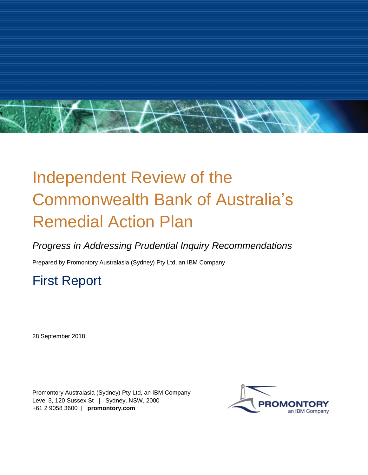

# Independent Review of the Commonwealth Bank of Australia's Remedial Action Plan

## *Progress in Addressing Prudential Inquiry Recommendations*

Prepared by Promontory Australasia (Sydney) Pty Ltd, an IBM Company

## First Report

28 September 2018

Promontory Australasia (Sydney) Pty Ltd, an IBM Company Level 3, 120 Sussex St | Sydney, NSW, 2000 +61 2 9058 3600 | **promontory.com**

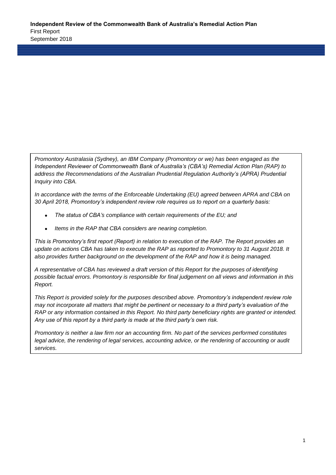*Promontory Australasia (Sydney), an IBM Company (Promontory or we) has been engaged as the Independent Reviewer of Commonwealth Bank of Australia's (CBA's) Remedial Action Plan (RAP) to address the Recommendations of the Australian Prudential Regulation Authority's (APRA) Prudential Inquiry into CBA.*

*In accordance with the terms of the Enforceable Undertaking (EU) agreed between APRA and CBA on 30 April 2018, Promontory's independent review role requires us to report on a quarterly basis:*

- *The status of CBA's compliance with certain requirements of the EU; and*
- *Items in the RAP that CBA considers are nearing completion.*

*This is Promontory's first report (Report) in relation to execution of the RAP. The Report provides an update on actions CBA has taken to execute the RAP as reported to Promontory to 31 August 2018. It also provides further background on the development of the RAP and how it is being managed.*

*A representative of CBA has reviewed a draft version of this Report for the purposes of identifying possible factual errors. Promontory is responsible for final judgement on all views and information in this Report.*

*This Report is provided solely for the purposes described above. Promontory's independent review role may not incorporate all matters that might be pertinent or necessary to a third party's evaluation of the RAP or any information contained in this Report. No third party beneficiary rights are granted or intended. Any use of this report by a third party is made at the third party's own risk.*

*Promontory is neither a law firm nor an accounting firm. No part of the services performed constitutes legal advice, the rendering of legal services, accounting advice, or the rendering of accounting or audit services.*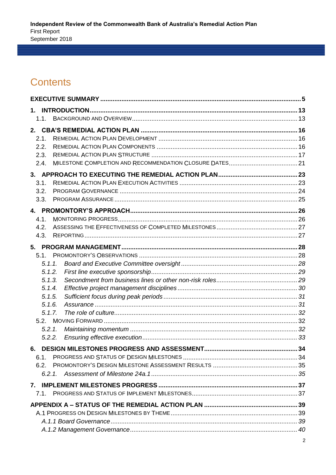## **Contents**

| $1_{-}$ |  |
|---------|--|
| 1.1.    |  |
| 2.      |  |
| 2.1.    |  |
| 2.2.    |  |
| 2.3.    |  |
| 2.4.    |  |
|         |  |
| 3.1.    |  |
| 3.2.    |  |
| 3.3.    |  |
|         |  |
| 4.1.    |  |
| 4.2.    |  |
| 4.3.    |  |
|         |  |
| 5.1.    |  |
| 5.1.1.  |  |
| 5.1.2.  |  |
| 5.1.3.  |  |
| 5.1.4.  |  |
| 5.1.5.  |  |
| 5.1.6.  |  |
| 5.1.7.  |  |
|         |  |
| 5.2.1.  |  |
| 5.2.2.  |  |
|         |  |
| 6.1.    |  |
| 6.2.    |  |
| 6.2.1   |  |
|         |  |
| 7.1.    |  |
|         |  |
|         |  |
|         |  |
|         |  |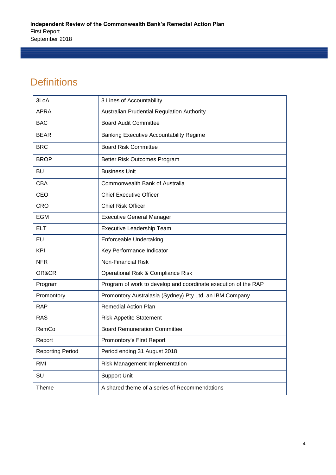## **Definitions**

| 3LoA                    | 3 Lines of Accountability                                      |
|-------------------------|----------------------------------------------------------------|
| <b>APRA</b>             | <b>Australian Prudential Regulation Authority</b>              |
| <b>BAC</b>              | <b>Board Audit Committee</b>                                   |
| <b>BEAR</b>             | <b>Banking Executive Accountability Regime</b>                 |
| <b>BRC</b>              | <b>Board Risk Committee</b>                                    |
| <b>BROP</b>             | Better Risk Outcomes Program                                   |
| <b>BU</b>               | <b>Business Unit</b>                                           |
| <b>CBA</b>              | Commonwealth Bank of Australia                                 |
| CEO                     | <b>Chief Executive Officer</b>                                 |
| <b>CRO</b>              | <b>Chief Risk Officer</b>                                      |
| <b>EGM</b>              | <b>Executive General Manager</b>                               |
| <b>ELT</b>              | Executive Leadership Team                                      |
| <b>EU</b>               | Enforceable Undertaking                                        |
| <b>KPI</b>              | Key Performance Indicator                                      |
| <b>NFR</b>              | <b>Non-Financial Risk</b>                                      |
| OR&CR                   | Operational Risk & Compliance Risk                             |
| Program                 | Program of work to develop and coordinate execution of the RAP |
| Promontory              | Promontory Australasia (Sydney) Pty Ltd, an IBM Company        |
| <b>RAP</b>              | <b>Remedial Action Plan</b>                                    |
| <b>RAS</b>              | <b>Risk Appetite Statement</b>                                 |
| RemCo                   | <b>Board Remuneration Committee</b>                            |
| Report                  | Promontory's First Report                                      |
| <b>Reporting Period</b> | Period ending 31 August 2018                                   |
| <b>RMI</b>              | Risk Management Implementation                                 |
| SU                      | <b>Support Unit</b>                                            |
| Theme                   | A shared theme of a series of Recommendations                  |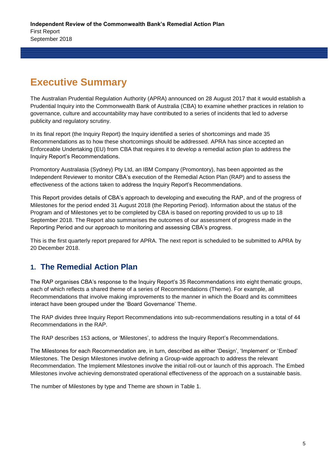## **Executive Summary**

The Australian Prudential Regulation Authority (APRA) announced on 28 August 2017 that it would establish a Prudential Inquiry into the Commonwealth Bank of Australia (CBA) to examine whether practices in relation to governance, culture and accountability may have contributed to a series of incidents that led to adverse publicity and regulatory scrutiny.

In its final report (the Inquiry Report) the Inquiry identified a series of shortcomings and made 35 Recommendations as to how these shortcomings should be addressed. APRA has since accepted an Enforceable Undertaking (EU) from CBA that requires it to develop a remedial action plan to address the Inquiry Report's Recommendations.

Promontory Australasia (Sydney) Pty Ltd, an IBM Company (Promontory), has been appointed as the Independent Reviewer to monitor CBA's execution of the Remedial Action Plan (RAP) and to assess the effectiveness of the actions taken to address the Inquiry Report's Recommendations.

This Report provides details of CBA's approach to developing and executing the RAP, and of the progress of Milestones for the period ended 31 August 2018 (the Reporting Period). Information about the status of the Program and of Milestones yet to be completed by CBA is based on reporting provided to us up to 18 September 2018. The Report also summarises the outcomes of our assessment of progress made in the Reporting Period and our approach to monitoring and assessing CBA's progress.

This is the first quarterly report prepared for APRA. The next report is scheduled to be submitted to APRA by 20 December 2018.

## **1. The Remedial Action Plan**

The RAP organises CBA's response to the Inquiry Report's 35 Recommendations into eight thematic groups, each of which reflects a shared theme of a series of Recommendations (Theme). For example, all Recommendations that involve making improvements to the manner in which the Board and its committees interact have been grouped under the 'Board Governance' Theme.

The RAP divides three Inquiry Report Recommendations into sub-recommendations resulting in a total of 44 Recommendations in the RAP.

The RAP describes 153 actions, or 'Milestones', to address the Inquiry Report's Recommendations.

The Milestones for each Recommendation are, in turn, described as either 'Design', 'Implement' or 'Embed' Milestones. The Design Milestones involve defining a Group-wide approach to address the relevant Recommendation. The Implement Milestones involve the initial roll-out or launch of this approach. The Embed Milestones involve achieving demonstrated operational effectiveness of the approach on a sustainable basis.

The number of Milestones by type and Theme are shown in Table 1.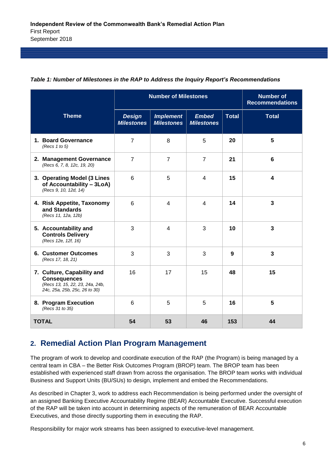|                                                                                                                       |                                    | <b>Number of Milestones</b>           | <b>Number of</b><br><b>Recommendations</b> |              |                         |
|-----------------------------------------------------------------------------------------------------------------------|------------------------------------|---------------------------------------|--------------------------------------------|--------------|-------------------------|
| <b>Theme</b>                                                                                                          | <b>Design</b><br><b>Milestones</b> | <b>Implement</b><br><b>Milestones</b> | <b>Embed</b><br><b>Milestones</b>          | <b>Total</b> | <b>Total</b>            |
| 1. Board Governance<br>(Recs $1$ to $5$ )                                                                             | $\overline{7}$                     | 8                                     | 5                                          | 20           | 5                       |
| 2. Management Governance<br>(Recs 6, 7, 8, 12c, 19, 20)                                                               | $\overline{7}$                     | $\overline{7}$                        | $\overline{7}$                             | 21           | $6\phantom{1}$          |
| 3. Operating Model (3 Lines<br>of Accountability - 3LoA)<br>(Recs 9, 10, 12d, 14)                                     | 6                                  | 5                                     | 4                                          | 15           | 4                       |
| 4. Risk Appetite, Taxonomy<br>and Standards<br>(Recs 11, 12a, 12b)                                                    | 6                                  | 4                                     | 4                                          | 14           | $\overline{\mathbf{3}}$ |
| 5. Accountability and<br><b>Controls Delivery</b><br>(Recs 12e, 12f, 16)                                              | 3                                  | 4                                     | 3                                          | 10           | $\overline{\mathbf{3}}$ |
| <b>6. Customer Outcomes</b><br>(Recs 17, 18, 21)                                                                      | 3                                  | 3                                     | 3                                          | 9            | $\overline{3}$          |
| 7. Culture, Capability and<br><b>Consequences</b><br>(Recs 13, 15, 22, 23, 24a, 24b,<br>24c, 25a, 25b, 25c, 26 to 30) | 16                                 | 17                                    | 15                                         | 48           | 15                      |
| 8. Program Execution<br>(Recs 31 to 35)                                                                               | 6                                  | 5                                     | 5                                          | 16           | 5                       |
| <b>TOTAL</b>                                                                                                          | 54                                 | 53                                    | 46                                         | 153          | 44                      |

#### *Table 1: Number of Milestones in the RAP to Address the Inquiry Report's Recommendations*

### **2. Remedial Action Plan Program Management**

The program of work to develop and coordinate execution of the RAP (the Program) is being managed by a central team in CBA – the Better Risk Outcomes Program (BROP) team. The BROP team has been established with experienced staff drawn from across the organisation. The BROP team works with individual Business and Support Units (BU/SUs) to design, implement and embed the Recommendations.

As described in Chapter 3, work to address each Recommendation is being performed under the oversight of an assigned Banking Executive Accountability Regime (BEAR) Accountable Executive. Successful execution of the RAP will be taken into account in determining aspects of the remuneration of BEAR Accountable Executives, and those directly supporting them in executing the RAP.

Responsibility for major work streams has been assigned to executive-level management.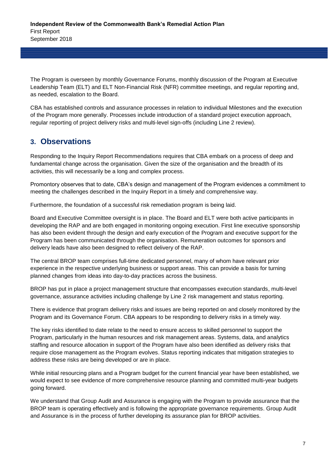The Program is overseen by monthly Governance Forums, monthly discussion of the Program at Executive Leadership Team (ELT) and ELT Non-Financial Risk (NFR) committee meetings, and regular reporting and, as needed, escalation to the Board.

CBA has established controls and assurance processes in relation to individual Milestones and the execution of the Program more generally. Processes include introduction of a standard project execution approach, regular reporting of project delivery risks and multi-level sign-offs (including Line 2 review).

### **3. Observations**

Responding to the Inquiry Report Recommendations requires that CBA embark on a process of deep and fundamental change across the organisation. Given the size of the organisation and the breadth of its activities, this will necessarily be a long and complex process.

Promontory observes that to date, CBA's design and management of the Program evidences a commitment to meeting the challenges described in the Inquiry Report in a timely and comprehensive way.

Furthermore, the foundation of a successful risk remediation program is being laid.

Board and Executive Committee oversight is in place. The Board and ELT were both active participants in developing the RAP and are both engaged in monitoring ongoing execution. First line executive sponsorship has also been evident through the design and early execution of the Program and executive support for the Program has been communicated through the organisation. Remuneration outcomes for sponsors and delivery leads have also been designed to reflect delivery of the RAP.

The central BROP team comprises full-time dedicated personnel, many of whom have relevant prior experience in the respective underlying business or support areas. This can provide a basis for turning planned changes from ideas into day-to-day practices across the business.

BROP has put in place a project management structure that encompasses execution standards, multi-level governance, assurance activities including challenge by Line 2 risk management and status reporting.

There is evidence that program delivery risks and issues are being reported on and closely monitored by the Program and its Governance Forum. CBA appears to be responding to delivery risks in a timely way.

The key risks identified to date relate to the need to ensure access to skilled personnel to support the Program, particularly in the human resources and risk management areas. Systems, data, and analytics staffing and resource allocation in support of the Program have also been identified as delivery risks that require close management as the Program evolves. Status reporting indicates that mitigation strategies to address these risks are being developed or are in place.

While initial resourcing plans and a Program budget for the current financial year have been established, we would expect to see evidence of more comprehensive resource planning and committed multi-year budgets going forward.

We understand that Group Audit and Assurance is engaging with the Program to provide assurance that the BROP team is operating effectively and is following the appropriate governance requirements. Group Audit and Assurance is in the process of further developing its assurance plan for BROP activities.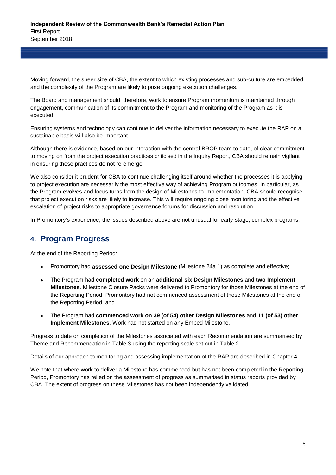Moving forward, the sheer size of CBA, the extent to which existing processes and sub-culture are embedded, and the complexity of the Program are likely to pose ongoing execution challenges.

The Board and management should, therefore, work to ensure Program momentum is maintained through engagement, communication of its commitment to the Program and monitoring of the Program as it is executed.

Ensuring systems and technology can continue to deliver the information necessary to execute the RAP on a sustainable basis will also be important.

Although there is evidence, based on our interaction with the central BROP team to date, of clear commitment to moving on from the project execution practices criticised in the Inquiry Report, CBA should remain vigilant in ensuring those practices do not re-emerge.

We also consider it prudent for CBA to continue challenging itself around whether the processes it is applying to project execution are necessarily the most effective way of achieving Program outcomes. In particular, as the Program evolves and focus turns from the design of Milestones to implementation, CBA should recognise that project execution risks are likely to increase. This will require ongoing close monitoring and the effective escalation of project risks to appropriate governance forums for discussion and resolution.

In Promontory's experience, the issues described above are not unusual for early-stage, complex programs.

## **4. Program Progress**

At the end of the Reporting Period:

- Promontory had **assessed one Design Milestone** (Milestone 24a.1) as complete and effective;
- The Program had **completed work** on an **additional six Design Milestones** and **two Implement Milestones**. Milestone Closure Packs were delivered to Promontory for those Milestones at the end of the Reporting Period. Promontory had not commenced assessment of those Milestones at the end of the Reporting Period; and
- The Program had **commenced work on 39 (of 54) other Design Milestones** and **11 (of 53) other Implement Milestones**. Work had not started on any Embed Milestone.

Progress to date on completion of the Milestones associated with each Recommendation are summarised by Theme and Recommendation in Table 3 using the reporting scale set out in Table 2.

Details of our approach to monitoring and assessing implementation of the RAP are described in Chapter 4.

We note that where work to deliver a Milestone has commenced but has not been completed in the Reporting Period, Promontory has relied on the assessment of progress as summarised in status reports provided by CBA. The extent of progress on these Milestones has not been independently validated.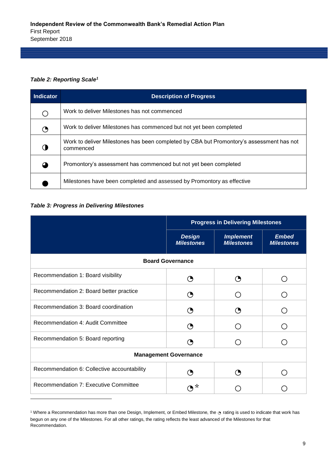#### *Table 2: Reporting Scale<sup>1</sup>*

| Indicator  | <b>Description of Progress</b>                                                                        |
|------------|-------------------------------------------------------------------------------------------------------|
| $\bigcirc$ | Work to deliver Milestones has not commenced                                                          |
| ◔          | Work to deliver Milestones has commenced but not yet been completed                                   |
|            | Work to deliver Milestones has been completed by CBA but Promontory's assessment has not<br>commenced |
|            | Promontory's assessment has commenced but not yet been completed                                      |
|            | Milestones have been completed and assessed by Promontory as effective                                |

#### *Table 3: Progress in Delivering Milestones*

l

|                                             | <b>Progress in Delivering Milestones</b> |                                       |                                   |  |  |  |
|---------------------------------------------|------------------------------------------|---------------------------------------|-----------------------------------|--|--|--|
|                                             | <b>Design</b><br><b>Milestones</b>       | <b>Implement</b><br><b>Milestones</b> | <b>Embed</b><br><b>Milestones</b> |  |  |  |
|                                             | <b>Board Governance</b>                  |                                       |                                   |  |  |  |
| Recommendation 1: Board visibility          | 9                                        | ( )                                   |                                   |  |  |  |
| Recommendation 2: Board better practice     |                                          |                                       |                                   |  |  |  |
| Recommendation 3: Board coordination        | (●                                       |                                       |                                   |  |  |  |
| Recommendation 4: Audit Committee           | ( )                                      |                                       |                                   |  |  |  |
| Recommendation 5: Board reporting           |                                          |                                       |                                   |  |  |  |
| <b>Management Governance</b>                |                                          |                                       |                                   |  |  |  |
| Recommendation 6: Collective accountability | 9                                        | 9                                     |                                   |  |  |  |
| Recommendation 7: Executive Committee       | ℈ <sup>∗</sup>                           |                                       |                                   |  |  |  |

<sup>1</sup> Where a Recommendation has more than one Design, Implement, or Embed Milestone, the ⊙ rating is used to indicate that work has begun on any one of the Milestones. For all other ratings, the rating reflects the least advanced of the Milestones for that Recommendation.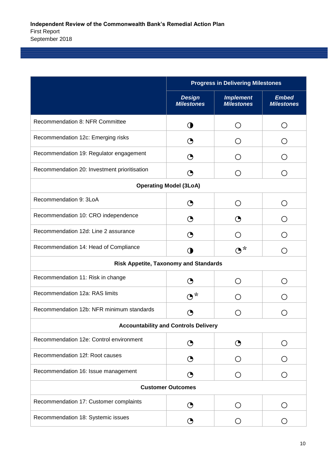|                                              | <b>Progress in Delivering Milestones</b> |                                               |                                                    |  |  |
|----------------------------------------------|------------------------------------------|-----------------------------------------------|----------------------------------------------------|--|--|
|                                              | <b>Design</b><br><b>Milestones</b>       | <b>Implement</b><br><b>Milestones</b>         | <b>Embed</b><br><b>Milestones</b>                  |  |  |
| Recommendation 8: NFR Committee              | ◑                                        | О                                             | $\left( \right)$                                   |  |  |
| Recommendation 12c: Emerging risks           | $\mathbf{\Theta}$                        | ( )                                           |                                                    |  |  |
| Recommendation 19: Regulator engagement      | ◔                                        | ( )                                           |                                                    |  |  |
| Recommendation 20: Investment prioritisation | ◔                                        | O                                             | ( )                                                |  |  |
|                                              | <b>Operating Model (3LoA)</b>            |                                               |                                                    |  |  |
| Recommendation 9: 3LoA                       | $\mathbf O$                              | O                                             | ◯                                                  |  |  |
| Recommendation 10: CRO independence          | ◔                                        | ◔                                             | ( )                                                |  |  |
| Recommendation 12d: Line 2 assurance         | ◔                                        | Ω                                             | ( )                                                |  |  |
| Recommendation 14: Head of Compliance        | $\mathbf 0$                              | $O^*$                                         | ( )                                                |  |  |
| <b>Risk Appetite, Taxonomy and Standards</b> |                                          |                                               |                                                    |  |  |
| Recommendation 11: Risk in change            | ◔                                        | О                                             | $\left(\begin{array}{c} 0 \\ 0 \end{array}\right)$ |  |  |
| Recommendation 12a: RAS limits               | $O^*$                                    | $\left(\begin{array}{c} 1 \end{array}\right)$ | 〔 〕                                                |  |  |
| Recommendation 12b: NFR minimum standards    | ◔                                        | Ω                                             | ( )                                                |  |  |
| <b>Accountability and Controls Delivery</b>  |                                          |                                               |                                                    |  |  |
| Recommendation 12e: Control environment      | ◔                                        | ◔                                             | ( )                                                |  |  |
| Recommendation 12f: Root causes              | ◔                                        | $\left( \right)$                              |                                                    |  |  |
| Recommendation 16: Issue management          | ◔                                        | O                                             |                                                    |  |  |
|                                              | <b>Customer Outcomes</b>                 |                                               |                                                    |  |  |
| Recommendation 17: Customer complaints       | $\mathbf{\Theta}$                        | О                                             | $\left( \right)$                                   |  |  |
| Recommendation 18: Systemic issues           | ◔                                        | O                                             | ○                                                  |  |  |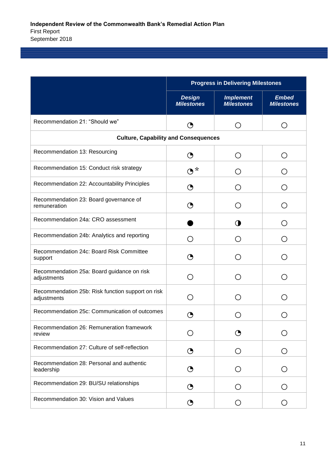|                                                                  | <b>Progress in Delivering Milestones</b> |                                               |                                               |  |
|------------------------------------------------------------------|------------------------------------------|-----------------------------------------------|-----------------------------------------------|--|
|                                                                  | <b>Design</b><br><b>Milestones</b>       | <b>Implement</b><br><b>Milestones</b>         | <b>Embed</b><br><b>Milestones</b>             |  |
| Recommendation 21: "Should we"                                   | ◔                                        | О                                             | ( )                                           |  |
| <b>Culture, Capability and Consequences</b>                      |                                          |                                               |                                               |  |
| Recommendation 13: Resourcing                                    | ◔                                        | Ω                                             | $\left(\begin{array}{c} 1 \end{array}\right)$ |  |
| Recommendation 15: Conduct risk strategy                         | $O^*$                                    | $\left(\begin{array}{c} 1 \end{array}\right)$ |                                               |  |
| Recommendation 22: Accountability Principles                     | ◔                                        | O                                             | $\left(\begin{array}{c} 1 \end{array}\right)$ |  |
| Recommendation 23: Board governance of<br>remuneration           | ◔                                        | ( )                                           |                                               |  |
| Recommendation 24a: CRO assessment                               |                                          | O                                             |                                               |  |
| Recommendation 24b: Analytics and reporting                      | ◯                                        | $\left(\begin{array}{c} 1 \end{array}\right)$ | ( )                                           |  |
| Recommendation 24c: Board Risk Committee<br>support              | ◔                                        | ( )                                           |                                               |  |
| Recommendation 25a: Board guidance on risk<br>adjustments        | Ο                                        | ( )                                           |                                               |  |
| Recommendation 25b: Risk function support on risk<br>adjustments | Ω                                        | $\left(\begin{array}{c} 1 \end{array}\right)$ |                                               |  |
| Recommendation 25c: Communication of outcomes                    | ◑                                        | $\left(\right)$                               | $\overline{(\cdot)}$                          |  |
| Recommendation 26: Remuneration framework<br>review              |                                          | ↺                                             |                                               |  |
| Recommendation 27: Culture of self-reflection                    | $\mathbf{\Theta}$                        | О                                             |                                               |  |
| Recommendation 28: Personal and authentic<br>leadership          | $\mathbf{\Theta}$                        | O                                             |                                               |  |
| Recommendation 29: BU/SU relationships                           | ◔                                        | O                                             | $\left(\right)$                               |  |
| Recommendation 30: Vision and Values                             | $\mathbf{\Theta}$                        | O                                             | ( )                                           |  |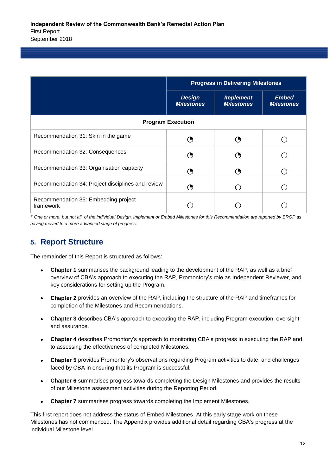|                                                   | <b>Progress in Delivering Milestones</b> |                                       |                                   |  |
|---------------------------------------------------|------------------------------------------|---------------------------------------|-----------------------------------|--|
|                                                   | <b>Design</b><br><b>Milestones</b>       | <b>Implement</b><br><b>Milestones</b> | <b>Embed</b><br><b>Milestones</b> |  |
|                                                   | <b>Program Execution</b>                 |                                       |                                   |  |
| Recommendation 31: Skin in the game               |                                          |                                       |                                   |  |
| Recommendation 32: Consequences                   |                                          | O,                                    |                                   |  |
| Recommendation 33: Organisation capacity          |                                          |                                       |                                   |  |
| Recommendation 34: Project disciplines and review |                                          |                                       |                                   |  |
| Recommendation 35: Embedding project<br>framework |                                          |                                       |                                   |  |

*\* One or more, but not all, of the individual Design, Implement or Embed Milestones for this Recommendation are reported by BROP as having moved to a more advanced stage of progress.*

## **5. Report Structure**

The remainder of this Report is structured as follows:

- **Chapter 1** summarises the background leading to the development of the RAP, as well as a brief overview of CBA's approach to executing the RAP, Promontory's role as Independent Reviewer, and key considerations for setting up the Program.
- **Chapter 2** provides an overview of the RAP, including the structure of the RAP and timeframes for completion of the Milestones and Recommendations.
- **Chapter 3** describes CBA's approach to executing the RAP, including Program execution, oversight and assurance.
- **Chapter 4** describes Promontory's approach to monitoring CBA's progress in executing the RAP and to assessing the effectiveness of completed Milestones.
- **Chapter 5** provides Promontory's observations regarding Program activities to date, and challenges faced by CBA in ensuring that its Program is successful.
- **Chapter 6** summarises progress towards completing the Design Milestones and provides the results of our Milestone assessment activities during the Reporting Period.
- **Chapter 7** summarises progress towards completing the Implement Milestones.

This first report does not address the status of Embed Milestones. At this early stage work on these Milestones has not commenced. The Appendix provides additional detail regarding CBA's progress at the individual Milestone level.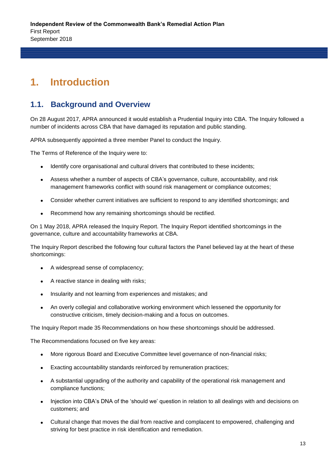## **1. Introduction**

### **1.1. Background and Overview**

On 28 August 2017, APRA announced it would establish a Prudential Inquiry into CBA. The Inquiry followed a number of incidents across CBA that have damaged its reputation and public standing.

APRA subsequently appointed a three member Panel to conduct the Inquiry.

The Terms of Reference of the Inquiry were to:

- Identify core organisational and cultural drivers that contributed to these incidents;
- Assess whether a number of aspects of CBA's governance, culture, accountability, and risk management frameworks conflict with sound risk management or compliance outcomes;
- Consider whether current initiatives are sufficient to respond to any identified shortcomings; and
- Recommend how any remaining shortcomings should be rectified.

On 1 May 2018, APRA released the Inquiry Report. The Inquiry Report identified shortcomings in the governance, culture and accountability frameworks at CBA.

The Inquiry Report described the following four cultural factors the Panel believed lay at the heart of these shortcomings:

- A widespread sense of complacency;
- A reactive stance in dealing with risks;
- Insularity and not learning from experiences and mistakes; and
- An overly collegial and collaborative working environment which lessened the opportunity for constructive criticism, timely decision-making and a focus on outcomes.

The Inquiry Report made 35 Recommendations on how these shortcomings should be addressed.

The Recommendations focused on five key areas:

- More rigorous Board and Executive Committee level governance of non-financial risks;
- Exacting accountability standards reinforced by remuneration practices;
- A substantial upgrading of the authority and capability of the operational risk management and compliance functions;
- Injection into CBA's DNA of the 'should we' question in relation to all dealings with and decisions on customers; and
- Cultural change that moves the dial from reactive and complacent to empowered, challenging and striving for best practice in risk identification and remediation.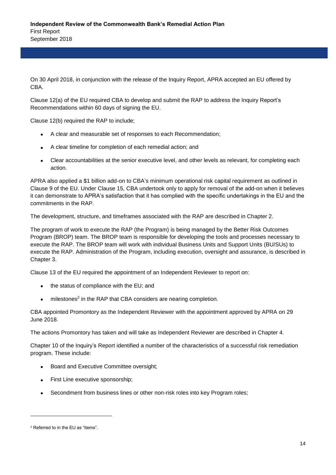On 30 April 2018, in conjunction with the release of the Inquiry Report, APRA accepted an EU offered by CBA.

Clause 12(a) of the EU required CBA to develop and submit the RAP to address the Inquiry Report's Recommendations within 60 days of signing the EU.

Clause 12(b) required the RAP to include;

- A clear and measurable set of responses to each Recommendation;
- A clear timeline for completion of each remedial action; and
- Clear accountabilities at the senior executive level, and other levels as relevant, for completing each action.

APRA also applied a \$1 billion add-on to CBA's minimum operational risk capital requirement as outlined in Clause 9 of the EU. Under Clause 15, CBA undertook only to apply for removal of the add-on when it believes it can demonstrate to APRA's satisfaction that it has complied with the specific undertakings in the EU and the commitments in the RAP.

The development, structure, and timeframes associated with the RAP are described in Chapter 2.

The program of work to execute the RAP (the Program) is being managed by the Better Risk Outcomes Program (BROP) team. The BROP team is responsible for developing the tools and processes necessary to execute the RAP. The BROP team will work with individual Business Units and Support Units (BU/SUs) to execute the RAP. Administration of the Program, including execution, oversight and assurance, is described in Chapter 3.

Clause 13 of the EU required the appointment of an Independent Reviewer to report on:

- the status of compliance with the EU; and
- $\bullet$  milestones<sup>2</sup> in the RAP that CBA considers are nearing completion.

CBA appointed Promontory as the Independent Reviewer with the appointment approved by APRA on 29 June 2018.

The actions Promontory has taken and will take as Independent Reviewer are described in Chapter 4.

Chapter 10 of the Inquiry's Report identified a number of the characteristics of a successful risk remediation program. These include:

- Board and Executive Committee oversight;
- First Line executive sponsorship;
- Secondment from business lines or other non-risk roles into key Program roles;

l

<sup>2</sup> Referred to in the EU as "items".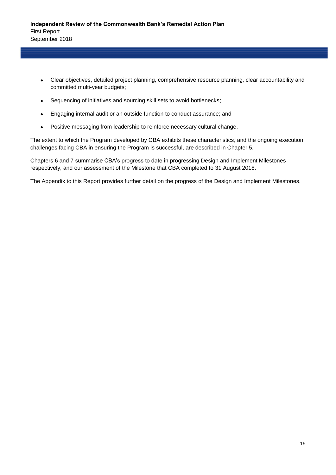- Clear objectives, detailed project planning, comprehensive resource planning, clear accountability and committed multi-year budgets;
- Sequencing of initiatives and sourcing skill sets to avoid bottlenecks;
- Engaging internal audit or an outside function to conduct assurance; and
- Positive messaging from leadership to reinforce necessary cultural change.

The extent to which the Program developed by CBA exhibits these characteristics, and the ongoing execution challenges facing CBA in ensuring the Program is successful, are described in Chapter 5.

Chapters 6 and 7 summarise CBA's progress to date in progressing Design and Implement Milestones respectively, and our assessment of the Milestone that CBA completed to 31 August 2018.

The Appendix to this Report provides further detail on the progress of the Design and Implement Milestones.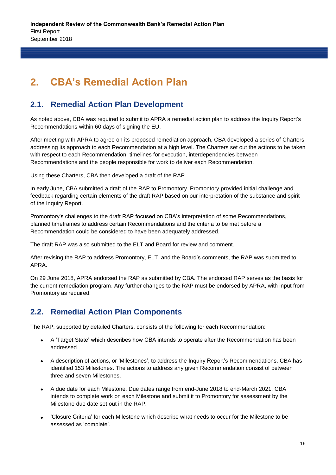## **2. CBA's Remedial Action Plan**

## **2.1. Remedial Action Plan Development**

As noted above, CBA was required to submit to APRA a remedial action plan to address the Inquiry Report's Recommendations within 60 days of signing the EU.

After meeting with APRA to agree on its proposed remediation approach, CBA developed a series of Charters addressing its approach to each Recommendation at a high level. The Charters set out the actions to be taken with respect to each Recommendation, timelines for execution, interdependencies between Recommendations and the people responsible for work to deliver each Recommendation.

Using these Charters, CBA then developed a draft of the RAP.

In early June, CBA submitted a draft of the RAP to Promontory. Promontory provided initial challenge and feedback regarding certain elements of the draft RAP based on our interpretation of the substance and spirit of the Inquiry Report.

Promontory's challenges to the draft RAP focused on CBA's interpretation of some Recommendations, planned timeframes to address certain Recommendations and the criteria to be met before a Recommendation could be considered to have been adequately addressed.

The draft RAP was also submitted to the ELT and Board for review and comment.

After revising the RAP to address Promontory, ELT, and the Board's comments, the RAP was submitted to APRA.

On 29 June 2018, APRA endorsed the RAP as submitted by CBA. The endorsed RAP serves as the basis for the current remediation program. Any further changes to the RAP must be endorsed by APRA, with input from Promontory as required.

## **2.2. Remedial Action Plan Components**

The RAP, supported by detailed Charters, consists of the following for each Recommendation:

- A 'Target State' which describes how CBA intends to operate after the Recommendation has been addressed.
- A description of actions, or 'Milestones', to address the Inquiry Report's Recommendations. CBA has identified 153 Milestones. The actions to address any given Recommendation consist of between three and seven Milestones.
- A due date for each Milestone. Due dates range from end-June 2018 to end-March 2021. CBA intends to complete work on each Milestone and submit it to Promontory for assessment by the Milestone due date set out in the RAP.
- 'Closure Criteria' for each Milestone which describe what needs to occur for the Milestone to be assessed as 'complete'.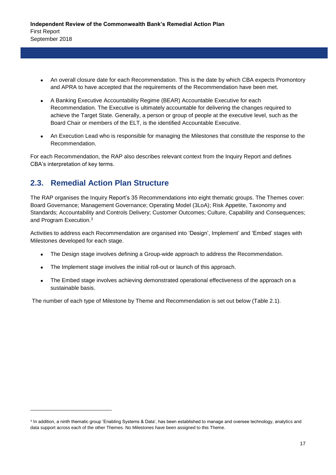- An overall closure date for each Recommendation. This is the date by which CBA expects Promontory and APRA to have accepted that the requirements of the Recommendation have been met.
- A Banking Executive Accountability Regime (BEAR) Accountable Executive for each Recommendation. The Executive is ultimately accountable for delivering the changes required to achieve the Target State. Generally, a person or group of people at the executive level, such as the Board Chair or members of the ELT, is the identified Accountable Executive.
- An Execution Lead who is responsible for managing the Milestones that constitute the response to the Recommendation.

For each Recommendation, the RAP also describes relevant context from the Inquiry Report and defines CBA's interpretation of key terms.

## **2.3. Remedial Action Plan Structure**

l

The RAP organises the Inquiry Report's 35 Recommendations into eight thematic groups. The Themes cover: Board Governance; Management Governance; Operating Model (3LoA); Risk Appetite, Taxonomy and Standards; Accountability and Controls Delivery; Customer Outcomes; Culture, Capability and Consequences; and Program Execution.<sup>3</sup>

Activities to address each Recommendation are organised into 'Design', Implement' and 'Embed' stages with Milestones developed for each stage.

- The Design stage involves defining a Group-wide approach to address the Recommendation.
- The Implement stage involves the initial roll-out or launch of this approach.
- The Embed stage involves achieving demonstrated operational effectiveness of the approach on a sustainable basis.

The number of each type of Milestone by Theme and Recommendation is set out below (Table 2.1).

<sup>3</sup> In addition, a ninth thematic group 'Enabling Systems & Data', has been established to manage and oversee technology, analytics and data support across each of the other Themes. No Milestones have been assigned to this Theme.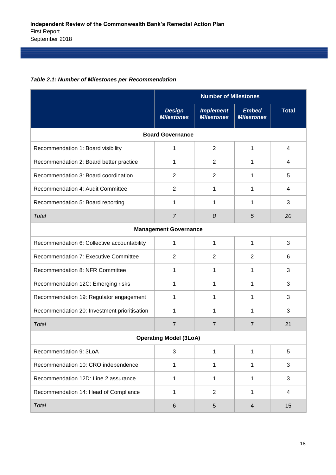| Table 2.1: Number of Milestones per Recommendation |
|----------------------------------------------------|
|----------------------------------------------------|

|                                              | <b>Number of Milestones</b>        |                                       |                                   |                |  |  |
|----------------------------------------------|------------------------------------|---------------------------------------|-----------------------------------|----------------|--|--|
|                                              | <b>Design</b><br><b>Milestones</b> | <b>Implement</b><br><b>Milestones</b> | <b>Embed</b><br><b>Milestones</b> | <b>Total</b>   |  |  |
| <b>Board Governance</b>                      |                                    |                                       |                                   |                |  |  |
| Recommendation 1: Board visibility           | 1                                  | $\overline{2}$                        | 1                                 | $\overline{4}$ |  |  |
| Recommendation 2: Board better practice      | 1                                  | $\overline{2}$                        | 1                                 | 4              |  |  |
| Recommendation 3: Board coordination         | $\overline{2}$                     | $\overline{2}$                        | 1                                 | 5              |  |  |
| Recommendation 4: Audit Committee            | $\overline{2}$                     | 1                                     | 1                                 | 4              |  |  |
| Recommendation 5: Board reporting            | 1                                  | 1                                     | 1                                 | 3              |  |  |
| <b>Total</b>                                 | $\overline{7}$                     | 8                                     | 5                                 | 20             |  |  |
| <b>Management Governance</b>                 |                                    |                                       |                                   |                |  |  |
| Recommendation 6: Collective accountability  | 1                                  | 1                                     | 1                                 | 3              |  |  |
| Recommendation 7: Executive Committee        | $\overline{2}$                     | $\overline{2}$                        | $\overline{2}$                    | 6              |  |  |
| Recommendation 8: NFR Committee              | 1                                  | 1                                     | 1                                 | 3              |  |  |
| Recommendation 12C: Emerging risks           | 1                                  | 1                                     | 1                                 | 3              |  |  |
| Recommendation 19: Regulator engagement      | 1                                  | 1                                     | 1                                 | 3              |  |  |
| Recommendation 20: Investment prioritisation | 1                                  | 1                                     | 1                                 | 3              |  |  |
| <b>Total</b>                                 | $\overline{7}$                     | $\overline{7}$                        | 7                                 | 21             |  |  |
|                                              | <b>Operating Model (3LoA)</b>      |                                       |                                   |                |  |  |
| Recommendation 9: 3LoA                       | $\mathbf{3}$                       | 1                                     | 1                                 | 5              |  |  |
| Recommendation 10: CRO independence          | $\mathbf{1}$                       | 1                                     | 1                                 | 3              |  |  |
| Recommendation 12D: Line 2 assurance         | $\mathbf 1$                        | 1                                     | 1                                 | 3              |  |  |
| Recommendation 14: Head of Compliance        | $\mathbf{1}$                       | $\overline{2}$                        | 1                                 | $\overline{4}$ |  |  |
| Total                                        | $\,6$                              | $\mathbf 5$                           | 4                                 | 15             |  |  |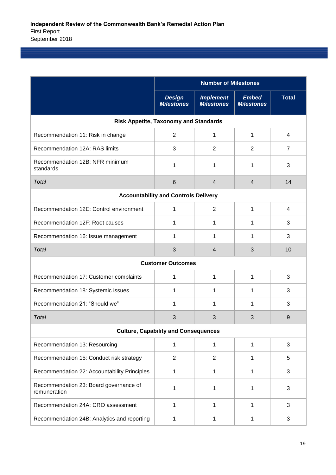|                                                        | <b>Number of Milestones</b>                 |                                       |                                   |                |  |  |  |
|--------------------------------------------------------|---------------------------------------------|---------------------------------------|-----------------------------------|----------------|--|--|--|
|                                                        | <b>Design</b><br><b>Milestones</b>          | <b>Implement</b><br><b>Milestones</b> | <b>Embed</b><br><b>Milestones</b> | <b>Total</b>   |  |  |  |
| <b>Risk Appetite, Taxonomy and Standards</b>           |                                             |                                       |                                   |                |  |  |  |
| Recommendation 11: Risk in change                      | $\overline{2}$                              | 1                                     | 1                                 | 4              |  |  |  |
| Recommendation 12A: RAS limits                         | 3                                           | $\overline{2}$                        | $\overline{2}$                    | $\overline{7}$ |  |  |  |
| Recommendation 12B: NFR minimum<br>standards           | 1                                           | 1                                     | 1                                 | 3              |  |  |  |
| Total                                                  | $6\phantom{1}$                              | $\overline{4}$                        | $\overline{4}$                    | 14             |  |  |  |
|                                                        | <b>Accountability and Controls Delivery</b> |                                       |                                   |                |  |  |  |
| Recommendation 12E: Control environment                | 1                                           | $\overline{2}$                        | 1                                 | 4              |  |  |  |
| Recommendation 12F: Root causes                        | 1                                           | 1                                     | 1                                 | 3              |  |  |  |
| Recommendation 16: Issue management                    | 1                                           | 1                                     | 1                                 | 3              |  |  |  |
| <b>Total</b>                                           | 3                                           | 4                                     | 3                                 | 10             |  |  |  |
| <b>Customer Outcomes</b>                               |                                             |                                       |                                   |                |  |  |  |
| Recommendation 17: Customer complaints                 | 1                                           | 1                                     | 1                                 | 3              |  |  |  |
| Recommendation 18: Systemic issues                     | 1                                           | 1                                     | 1                                 | 3              |  |  |  |
| Recommendation 21: "Should we"                         | 1                                           | 1                                     | 1                                 | 3              |  |  |  |
| Total                                                  | 3                                           | 3                                     | 3                                 | 9              |  |  |  |
|                                                        | <b>Culture, Capability and Consequences</b> |                                       |                                   |                |  |  |  |
| Recommendation 13: Resourcing                          | $\mathbf{1}$                                | 1                                     | 1                                 | 3              |  |  |  |
| Recommendation 15: Conduct risk strategy               | $\overline{2}$                              | 2                                     | 1                                 | 5              |  |  |  |
| Recommendation 22: Accountability Principles           | $\mathbf{1}$                                | 1                                     | 1                                 | 3              |  |  |  |
| Recommendation 23: Board governance of<br>remuneration | 1                                           | 1                                     | 1                                 | 3              |  |  |  |
| Recommendation 24A: CRO assessment                     | $\mathbf{1}$                                | 1                                     | 1                                 | 3              |  |  |  |
| Recommendation 24B: Analytics and reporting            | $\mathbf{1}$                                | 1                                     | 1                                 | 3              |  |  |  |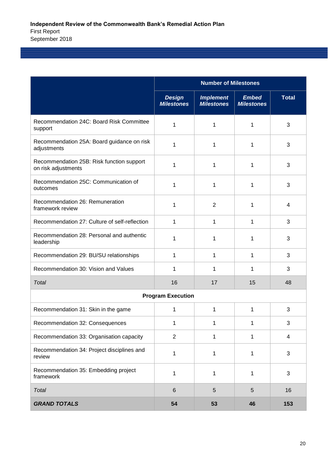|                                                                  | <b>Number of Milestones</b>        |                                       |                                   |              |  |  |
|------------------------------------------------------------------|------------------------------------|---------------------------------------|-----------------------------------|--------------|--|--|
|                                                                  | <b>Design</b><br><b>Milestones</b> | <b>Implement</b><br><b>Milestones</b> | <b>Embed</b><br><b>Milestones</b> | <b>Total</b> |  |  |
| Recommendation 24C: Board Risk Committee<br>support              | 1                                  | 1                                     | 1                                 | 3            |  |  |
| Recommendation 25A: Board guidance on risk<br>adjustments        | 1                                  | 1                                     | 1                                 | 3            |  |  |
| Recommendation 25B: Risk function support<br>on risk adjustments | 1                                  | 1                                     | 1                                 | 3            |  |  |
| Recommendation 25C: Communication of<br>outcomes                 | 1                                  | 1                                     | 1                                 | 3            |  |  |
| Recommendation 26: Remuneration<br>framework review              | 1                                  | 2                                     | 1                                 | 4            |  |  |
| Recommendation 27: Culture of self-reflection                    | 1                                  | 1                                     | 1                                 | 3            |  |  |
| Recommendation 28: Personal and authentic<br>leadership          | 1                                  | 1                                     | 1                                 | 3            |  |  |
| Recommendation 29: BU/SU relationships                           | 1                                  | 1                                     | 1                                 | 3            |  |  |
| Recommendation 30: Vision and Values                             | 1                                  | 1                                     | 1                                 | 3            |  |  |
| Total                                                            | 16                                 | 17                                    | 15                                | 48           |  |  |
|                                                                  | <b>Program Execution</b>           |                                       |                                   |              |  |  |
| Recommendation 31: Skin in the game                              | 1                                  | 1                                     | 1                                 | 3            |  |  |
| Recommendation 32: Consequences                                  | 1                                  | 1                                     | 1                                 | 3            |  |  |
| Recommendation 33: Organisation capacity                         | $\overline{2}$                     | 1                                     | 1                                 | 4            |  |  |
| Recommendation 34: Project disciplines and<br>review             | 1                                  | 1                                     | 1                                 | 3            |  |  |
| Recommendation 35: Embedding project<br>framework                | 1                                  | 1                                     | 1                                 | 3            |  |  |
| Total                                                            | $6\phantom{1}$                     | 5                                     | 5                                 | 16           |  |  |
| <b>GRAND TOTALS</b>                                              | 54                                 | 53                                    | 46                                | 153          |  |  |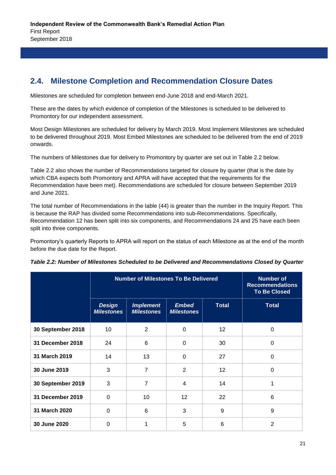## **2.4. Milestone Completion and Recommendation Closure Dates**

Milestones are scheduled for completion between end-June 2018 and end-March 2021.

These are the dates by which evidence of completion of the Milestones is scheduled to be delivered to Promontory for our independent assessment.

Most Design Milestones are scheduled for delivery by March 2019. Most Implement Milestones are scheduled to be delivered throughout 2019. Most Embed Milestones are scheduled to be delivered from the end of 2019 onwards.

The numbers of Milestones due for delivery to Promontory by quarter are set out in Table 2.2 below.

Table 2.2 also shows the number of Recommendations targeted for closure by quarter (that is the date by which CBA expects both Promontory and APRA will have accepted that the requirements for the Recommendation have been met). Recommendations are scheduled for closure between September 2019 and June 2021.

The total number of Recommendations in the table (44) is greater than the number in the Inquiry Report. This is because the RAP has divided some Recommendations into sub-Recommendations. Specifically, Recommendation 12 has been split into six components, and Recommendations 24 and 25 have each been split into three components.

Promontory's quarterly Reports to APRA will report on the status of each Milestone as at the end of the month before the due date for the Report.

|                   |                                    | <b>Number of Milestones To Be Delivered</b> |                                   |              |                |  |  |
|-------------------|------------------------------------|---------------------------------------------|-----------------------------------|--------------|----------------|--|--|
|                   | <b>Design</b><br><b>Milestones</b> | <b>Implement</b><br><b>Milestones</b>       | <b>Embed</b><br><b>Milestones</b> | <b>Total</b> | <b>Total</b>   |  |  |
| 30 September 2018 | 10                                 | $\overline{2}$                              | $\Omega$                          | 12           | 0              |  |  |
| 31 December 2018  | 24                                 | 6                                           | 0                                 | 30           | 0              |  |  |
| 31 March 2019     | 14                                 | 13                                          | 0                                 | 27           | 0              |  |  |
| 30 June 2019      | 3                                  | 7                                           | $\overline{2}$                    | 12           | 0              |  |  |
| 30 September 2019 | 3                                  | 7                                           | 4                                 | 14           | 1              |  |  |
| 31 December 2019  | $\overline{0}$                     | 10                                          | 12                                | 22           | 6              |  |  |
| 31 March 2020     | $\Omega$                           | 6                                           | 3                                 | 9            | 9              |  |  |
| 30 June 2020      | $\Omega$                           |                                             | 5                                 | 6            | $\overline{2}$ |  |  |

|  |  | Table 2.2: Number of Milestones Scheduled to be Delivered and Recommendations Closed by Quarter |  |
|--|--|-------------------------------------------------------------------------------------------------|--|
|--|--|-------------------------------------------------------------------------------------------------|--|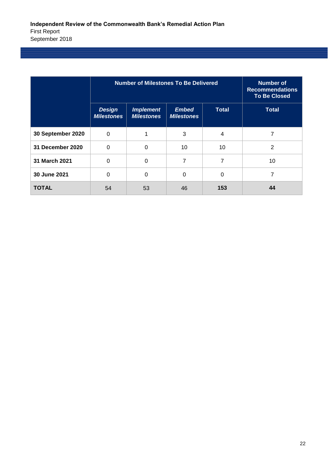|                   |                                    | <b>Number of Milestones To Be Delivered</b> |                                   |              |              |  |  |  |
|-------------------|------------------------------------|---------------------------------------------|-----------------------------------|--------------|--------------|--|--|--|
|                   | <b>Design</b><br><b>Milestones</b> | <b>Implement</b><br><b>Milestones</b>       | <b>Embed</b><br><b>Milestones</b> | <b>Total</b> | <b>Total</b> |  |  |  |
| 30 September 2020 | $\Omega$                           |                                             | 3                                 | 4            | 7            |  |  |  |
| 31 December 2020  | $\Omega$                           | $\Omega$                                    | 10                                | 10           | 2            |  |  |  |
| 31 March 2021     | 0                                  | $\Omega$                                    | 7                                 | 7            | 10           |  |  |  |
| 30 June 2021      | $\Omega$                           | 0                                           | 0                                 | $\Omega$     | 7            |  |  |  |
| <b>TOTAL</b>      | 54                                 | 53                                          | 46                                | 153          | 44           |  |  |  |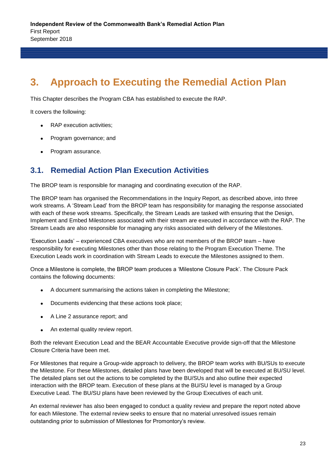## **3. Approach to Executing the Remedial Action Plan**

This Chapter describes the Program CBA has established to execute the RAP.

It covers the following:

- RAP execution activities;
- Program governance; and
- Program assurance.

### **3.1. Remedial Action Plan Execution Activities**

The BROP team is responsible for managing and coordinating execution of the RAP.

The BROP team has organised the Recommendations in the Inquiry Report, as described above, into three work streams. A 'Stream Lead' from the BROP team has responsibility for managing the response associated with each of these work streams. Specifically, the Stream Leads are tasked with ensuring that the Design, Implement and Embed Milestones associated with their stream are executed in accordance with the RAP. The Stream Leads are also responsible for managing any risks associated with delivery of the Milestones.

'Execution Leads' – experienced CBA executives who are not members of the BROP team – have responsibility for executing Milestones other than those relating to the Program Execution Theme. The Execution Leads work in coordination with Stream Leads to execute the Milestones assigned to them.

Once a Milestone is complete, the BROP team produces a 'Milestone Closure Pack'. The Closure Pack contains the following documents:

- A document summarising the actions taken in completing the Milestone;
- Documents evidencing that these actions took place;
- A Line 2 assurance report; and
- An external quality review report.

Both the relevant Execution Lead and the BEAR Accountable Executive provide sign-off that the Milestone Closure Criteria have been met.

For Milestones that require a Group-wide approach to delivery, the BROP team works with BU/SUs to execute the Milestone. For these Milestones, detailed plans have been developed that will be executed at BU/SU level. The detailed plans set out the actions to be completed by the BU/SUs and also outline their expected interaction with the BROP team. Execution of these plans at the BU/SU level is managed by a Group Executive Lead. The BU/SU plans have been reviewed by the Group Executives of each unit.

An external reviewer has also been engaged to conduct a quality review and prepare the report noted above for each Milestone. The external review seeks to ensure that no material unresolved issues remain outstanding prior to submission of Milestones for Promontory's review.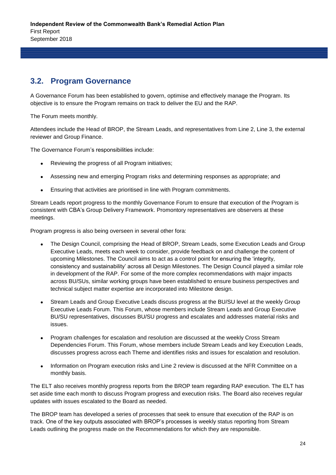## **3.2. Program Governance**

A Governance Forum has been established to govern, optimise and effectively manage the Program. Its objective is to ensure the Program remains on track to deliver the EU and the RAP.

The Forum meets monthly.

Attendees include the Head of BROP, the Stream Leads, and representatives from Line 2, Line 3, the external reviewer and Group Finance.

The Governance Forum's responsibilities include:

- Reviewing the progress of all Program initiatives;
- Assessing new and emerging Program risks and determining responses as appropriate; and
- Ensuring that activities are prioritised in line with Program commitments.

Stream Leads report progress to the monthly Governance Forum to ensure that execution of the Program is consistent with CBA's Group Delivery Framework. Promontory representatives are observers at these meetings.

Program progress is also being overseen in several other fora:

- The Design Council, comprising the Head of BROP, Stream Leads, some Execution Leads and Group Executive Leads, meets each week to consider, provide feedback on and challenge the content of upcoming Milestones. The Council aims to act as a control point for ensuring the 'integrity, consistency and sustainability' across all Design Milestones. The Design Council played a similar role in development of the RAP. For some of the more complex recommendations with major impacts across BU/SUs, similar working groups have been established to ensure business perspectives and technical subject matter expertise are incorporated into Milestone design.
- Stream Leads and Group Executive Leads discuss progress at the BU/SU level at the weekly Group Executive Leads Forum. This Forum, whose members include Stream Leads and Group Executive BU/SU representatives, discusses BU/SU progress and escalates and addresses material risks and issues.
- Program challenges for escalation and resolution are discussed at the weekly Cross Stream Dependencies Forum. This Forum, whose members include Stream Leads and key Execution Leads, discusses progress across each Theme and identifies risks and issues for escalation and resolution.
- Information on Program execution risks and Line 2 review is discussed at the NFR Committee on a monthly basis.

The ELT also receives monthly progress reports from the BROP team regarding RAP execution. The ELT has set aside time each month to discuss Program progress and execution risks. The Board also receives regular updates with issues escalated to the Board as needed.

The BROP team has developed a series of processes that seek to ensure that execution of the RAP is on track. One of the key outputs associated with BROP's processes is weekly status reporting from Stream Leads outlining the progress made on the Recommendations for which they are responsible.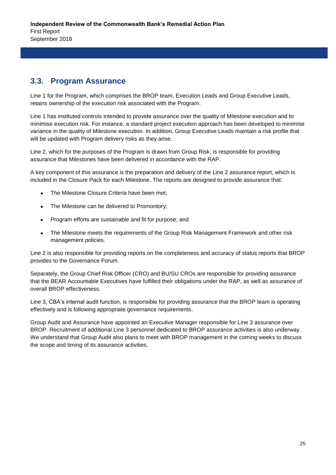### **3.3. Program Assurance**

Line 1 for the Program, which comprises the BROP team, Execution Leads and Group Executive Leads, retains ownership of the execution risk associated with the Program.

Line 1 has instituted controls intended to provide assurance over the quality of Milestone execution and to minimise execution risk. For instance, a standard project execution approach has been developed to minimise variance in the quality of Milestone execution. In addition, Group Executive Leads maintain a risk profile that will be updated with Program delivery risks as they arise.

Line 2, which for the purposes of the Program is drawn from Group Risk, is responsible for providing assurance that Milestones have been delivered in accordance with the RAP.

A key component of this assurance is the preparation and delivery of the Line 2 assurance report, which is included in the Closure Pack for each Milestone. The reports are designed to provide assurance that:

- The Milestone Closure Criteria have been met;
- The Milestone can be delivered to Promontory;
- Program efforts are sustainable and fit for purpose; and
- The Milestone meets the requirements of the Group Risk Management Framework and other risk management policies.

Line 2 is also responsible for providing reports on the completeness and accuracy of status reports that BROP provides to the Governance Forum.

Separately, the Group Chief Risk Officer (CRO) and BU/SU CROs are responsible for providing assurance that the BEAR Accountable Executives have fulfilled their obligations under the RAP, as well as assurance of overall BROP effectiveness.

Line 3, CBA's internal audit function, is responsible for providing assurance that the BROP team is operating effectively and is following appropriate governance requirements.

Group Audit and Assurance have appointed an Executive Manager responsible for Line 3 assurance over BROP. Recruitment of additional Line 3 personnel dedicated to BROP assurance activities is also underway. We understand that Group Audit also plans to meet with BROP management in the coming weeks to discuss the scope and timing of its assurance activities.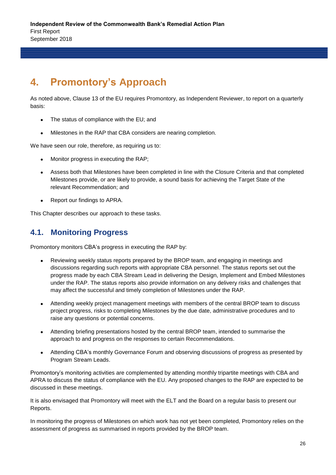## **4. Promontory's Approach**

As noted above, Clause 13 of the EU requires Promontory, as Independent Reviewer, to report on a quarterly basis:

- The status of compliance with the EU; and
- Milestones in the RAP that CBA considers are nearing completion.

We have seen our role, therefore, as requiring us to:

- Monitor progress in executing the RAP;
- Assess both that Milestones have been completed in line with the Closure Criteria and that completed Milestones provide, or are likely to provide, a sound basis for achieving the Target State of the relevant Recommendation; and
- Report our findings to APRA.

This Chapter describes our approach to these tasks.

### **4.1. Monitoring Progress**

Promontory monitors CBA's progress in executing the RAP by:

- Reviewing weekly status reports prepared by the BROP team, and engaging in meetings and discussions regarding such reports with appropriate CBA personnel. The status reports set out the progress made by each CBA Stream Lead in delivering the Design, Implement and Embed Milestones under the RAP. The status reports also provide information on any delivery risks and challenges that may affect the successful and timely completion of Milestones under the RAP.
- Attending weekly project management meetings with members of the central BROP team to discuss project progress, risks to completing Milestones by the due date, administrative procedures and to raise any questions or potential concerns.
- Attending briefing presentations hosted by the central BROP team, intended to summarise the approach to and progress on the responses to certain Recommendations.
- Attending CBA's monthly Governance Forum and observing discussions of progress as presented by Program Stream Leads.

Promontory's monitoring activities are complemented by attending monthly tripartite meetings with CBA and APRA to discuss the status of compliance with the EU. Any proposed changes to the RAP are expected to be discussed in these meetings.

It is also envisaged that Promontory will meet with the ELT and the Board on a regular basis to present our Reports.

In monitoring the progress of Milestones on which work has not yet been completed, Promontory relies on the assessment of progress as summarised in reports provided by the BROP team.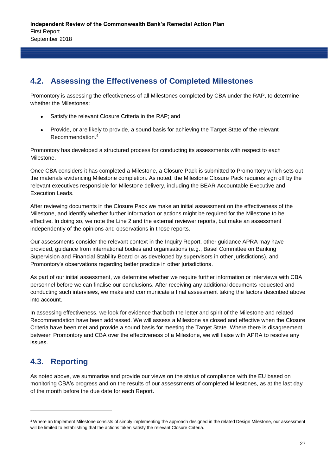### **4.2. Assessing the Effectiveness of Completed Milestones**

Promontory is assessing the effectiveness of all Milestones completed by CBA under the RAP, to determine whether the Milestones:

- Satisfy the relevant Closure Criteria in the RAP; and
- Provide, or are likely to provide, a sound basis for achieving the Target State of the relevant Recommendation. 4

Promontory has developed a structured process for conducting its assessments with respect to each Milestone.

Once CBA considers it has completed a Milestone, a Closure Pack is submitted to Promontory which sets out the materials evidencing Milestone completion. As noted, the Milestone Closure Pack requires sign off by the relevant executives responsible for Milestone delivery, including the BEAR Accountable Executive and Execution Leads.

After reviewing documents in the Closure Pack we make an initial assessment on the effectiveness of the Milestone, and identify whether further information or actions might be required for the Milestone to be effective. In doing so, we note the Line 2 and the external reviewer reports, but make an assessment independently of the opinions and observations in those reports.

Our assessments consider the relevant context in the Inquiry Report, other guidance APRA may have provided, guidance from international bodies and organisations (e.g., Basel Committee on Banking Supervision and Financial Stability Board or as developed by supervisors in other jurisdictions), and Promontory's observations regarding better practice in other jurisdictions.

As part of our initial assessment, we determine whether we require further information or interviews with CBA personnel before we can finalise our conclusions. After receiving any additional documents requested and conducting such interviews, we make and communicate a final assessment taking the factors described above into account.

In assessing effectiveness, we look for evidence that both the letter and spirit of the Milestone and related Recommendation have been addressed. We will assess a Milestone as closed and effective when the Closure Criteria have been met and provide a sound basis for meeting the Target State. Where there is disagreement between Promontory and CBA over the effectiveness of a Milestone, we will liaise with APRA to resolve any issues.

## **4.3. Reporting**

l

As noted above, we summarise and provide our views on the status of compliance with the EU based on monitoring CBA's progress and on the results of our assessments of completed Milestones, as at the last day of the month before the due date for each Report.

<sup>4</sup> Where an Implement Milestone consists of simply implementing the approach designed in the related Design Milestone, our assessment will be limited to establishing that the actions taken satisfy the relevant Closure Criteria.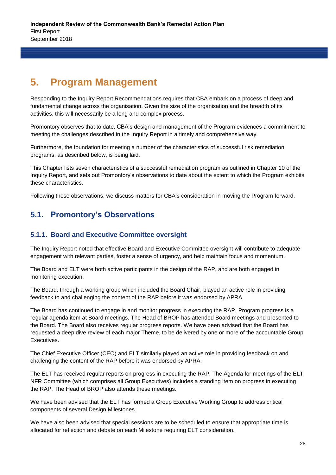## **5. Program Management**

Responding to the Inquiry Report Recommendations requires that CBA embark on a process of deep and fundamental change across the organisation. Given the size of the organisation and the breadth of its activities, this will necessarily be a long and complex process.

Promontory observes that to date, CBA's design and management of the Program evidences a commitment to meeting the challenges described in the Inquiry Report in a timely and comprehensive way.

Furthermore, the foundation for meeting a number of the characteristics of successful risk remediation programs, as described below, is being laid.

This Chapter lists seven characteristics of a successful remediation program as outlined in Chapter 10 of the Inquiry Report, and sets out Promontory's observations to date about the extent to which the Program exhibits these characteristics.

Following these observations, we discuss matters for CBA's consideration in moving the Program forward.

### **5.1. Promontory's Observations**

#### **5.1.1. Board and Executive Committee oversight**

The Inquiry Report noted that effective Board and Executive Committee oversight will contribute to adequate engagement with relevant parties, foster a sense of urgency, and help maintain focus and momentum.

The Board and ELT were both active participants in the design of the RAP, and are both engaged in monitoring execution.

The Board, through a working group which included the Board Chair, played an active role in providing feedback to and challenging the content of the RAP before it was endorsed by APRA.

The Board has continued to engage in and monitor progress in executing the RAP. Program progress is a regular agenda item at Board meetings. The Head of BROP has attended Board meetings and presented to the Board. The Board also receives regular progress reports. We have been advised that the Board has requested a deep dive review of each major Theme, to be delivered by one or more of the accountable Group Executives.

The Chief Executive Officer (CEO) and ELT similarly played an active role in providing feedback on and challenging the content of the RAP before it was endorsed by APRA.

The ELT has received regular reports on progress in executing the RAP. The Agenda for meetings of the ELT NFR Committee (which comprises all Group Executives) includes a standing item on progress in executing the RAP. The Head of BROP also attends these meetings.

We have been advised that the ELT has formed a Group Executive Working Group to address critical components of several Design Milestones.

We have also been advised that special sessions are to be scheduled to ensure that appropriate time is allocated for reflection and debate on each Milestone requiring ELT consideration.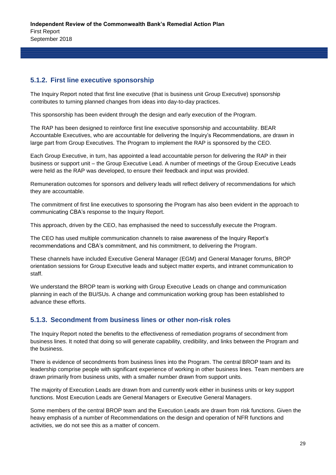#### **5.1.2. First line executive sponsorship**

The Inquiry Report noted that first line executive (that is business unit Group Executive) sponsorship contributes to turning planned changes from ideas into day-to-day practices.

This sponsorship has been evident through the design and early execution of the Program.

The RAP has been designed to reinforce first line executive sponsorship and accountability. BEAR Accountable Executives, who are accountable for delivering the Inquiry's Recommendations, are drawn in large part from Group Executives. The Program to implement the RAP is sponsored by the CEO.

Each Group Executive, in turn, has appointed a lead accountable person for delivering the RAP in their business or support unit – the Group Executive Lead. A number of meetings of the Group Executive Leads were held as the RAP was developed, to ensure their feedback and input was provided.

Remuneration outcomes for sponsors and delivery leads will reflect delivery of recommendations for which they are accountable.

The commitment of first line executives to sponsoring the Program has also been evident in the approach to communicating CBA's response to the Inquiry Report.

This approach, driven by the CEO, has emphasised the need to successfully execute the Program.

The CEO has used multiple communication channels to raise awareness of the Inquiry Report's recommendations and CBA's commitment, and his commitment, to delivering the Program.

These channels have included Executive General Manager (EGM) and General Manager forums, BROP orientation sessions for Group Executive leads and subject matter experts, and intranet communication to staff.

We understand the BROP team is working with Group Executive Leads on change and communication planning in each of the BU/SUs. A change and communication working group has been established to advance these efforts.

#### **5.1.3. Secondment from business lines or other non-risk roles**

The Inquiry Report noted the benefits to the effectiveness of remediation programs of secondment from business lines. It noted that doing so will generate capability, credibility, and links between the Program and the business.

There is evidence of secondments from business lines into the Program. The central BROP team and its leadership comprise people with significant experience of working in other business lines. Team members are drawn primarily from business units, with a smaller number drawn from support units.

The majority of Execution Leads are drawn from and currently work either in business units or key support functions. Most Execution Leads are General Managers or Executive General Managers.

Some members of the central BROP team and the Execution Leads are drawn from risk functions. Given the heavy emphasis of a number of Recommendations on the design and operation of NFR functions and activities, we do not see this as a matter of concern.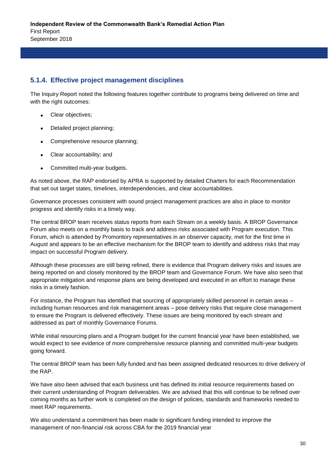#### **5.1.4. Effective project management disciplines**

The Inquiry Report noted the following features together contribute to programs being delivered on time and with the right outcomes:

- Clear objectives;
- Detailed project planning;
- Comprehensive resource planning;
- Clear accountability; and
- Committed multi-year budgets.

As noted above, the RAP endorsed by APRA is supported by detailed Charters for each Recommendation that set out target states, timelines, interdependencies, and clear accountabilities.

Governance processes consistent with sound project management practices are also in place to monitor progress and identify risks in a timely way.

The central BROP team receives status reports from each Stream on a weekly basis. A BROP Governance Forum also meets on a monthly basis to track and address risks associated with Program execution. This Forum, which is attended by Promontory representatives in an observer capacity, met for the first time in August and appears to be an effective mechanism for the BROP team to identify and address risks that may impact on successful Program delivery.

Although these processes are still being refined, there is evidence that Program delivery risks and issues are being reported on and closely monitored by the BROP team and Governance Forum. We have also seen that appropriate mitigation and response plans are being developed and executed in an effort to manage these risks in a timely fashion.

For instance, the Program has identified that sourcing of appropriately skilled personnel in certain areas – including human resources and risk management areas – pose delivery risks that require close management to ensure the Program is delivered effectively. These issues are being monitored by each stream and addressed as part of monthly Governance Forums.

While initial resourcing plans and a Program budget for the current financial year have been established, we would expect to see evidence of more comprehensive resource planning and committed multi-year budgets going forward.

The central BROP team has been fully funded and has been assigned dedicated resources to drive delivery of the RAP.

We have also been advised that each business unit has defined its initial resource requirements based on their current understanding of Program deliverables. We are advised that this will continue to be refined over coming months as further work is completed on the design of policies, standards and frameworks needed to meet RAP requirements.

We also understand a commitment has been made to significant funding intended to improve the management of non-financial risk across CBA for the 2019 financial year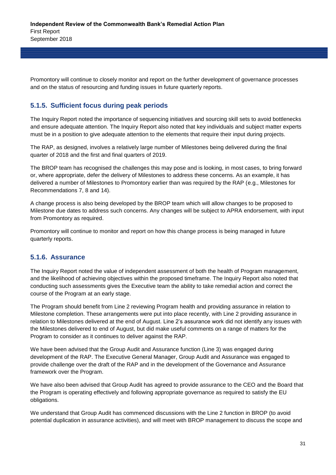Promontory will continue to closely monitor and report on the further development of governance processes and on the status of resourcing and funding issues in future quarterly reports.

#### **5.1.5. Sufficient focus during peak periods**

The Inquiry Report noted the importance of sequencing initiatives and sourcing skill sets to avoid bottlenecks and ensure adequate attention. The Inquiry Report also noted that key individuals and subject matter experts must be in a position to give adequate attention to the elements that require their input during projects.

The RAP, as designed, involves a relatively large number of Milestones being delivered during the final quarter of 2018 and the first and final quarters of 2019.

The BROP team has recognised the challenges this may pose and is looking, in most cases, to bring forward or, where appropriate, defer the delivery of Milestones to address these concerns. As an example, it has delivered a number of Milestones to Promontory earlier than was required by the RAP (e.g., Milestones for Recommendations 7, 8 and 14).

A change process is also being developed by the BROP team which will allow changes to be proposed to Milestone due dates to address such concerns. Any changes will be subject to APRA endorsement, with input from Promontory as required.

Promontory will continue to monitor and report on how this change process is being managed in future quarterly reports.

#### **5.1.6. Assurance**

The Inquiry Report noted the value of independent assessment of both the health of Program management, and the likelihood of achieving objectives within the proposed timeframe. The Inquiry Report also noted that conducting such assessments gives the Executive team the ability to take remedial action and correct the course of the Program at an early stage.

The Program should benefit from Line 2 reviewing Program health and providing assurance in relation to Milestone completion. These arrangements were put into place recently, with Line 2 providing assurance in relation to Milestones delivered at the end of August. Line 2's assurance work did not identify any issues with the Milestones delivered to end of August, but did make useful comments on a range of matters for the Program to consider as it continues to deliver against the RAP.

We have been advised that the Group Audit and Assurance function (Line 3) was engaged during development of the RAP. The Executive General Manager, Group Audit and Assurance was engaged to provide challenge over the draft of the RAP and in the development of the Governance and Assurance framework over the Program.

We have also been advised that Group Audit has agreed to provide assurance to the CEO and the Board that the Program is operating effectively and following appropriate governance as required to satisfy the EU obligations.

We understand that Group Audit has commenced discussions with the Line 2 function in BROP (to avoid potential duplication in assurance activities), and will meet with BROP management to discuss the scope and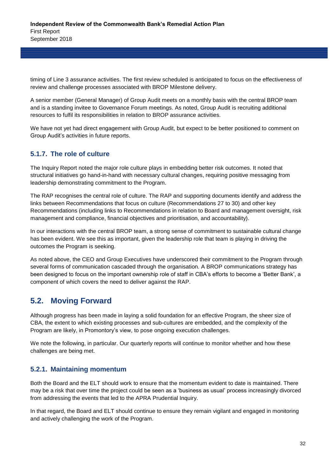timing of Line 3 assurance activities. The first review scheduled is anticipated to focus on the effectiveness of review and challenge processes associated with BROP Milestone delivery.

A senior member (General Manager) of Group Audit meets on a monthly basis with the central BROP team and is a standing invitee to Governance Forum meetings. As noted, Group Audit is recruiting additional resources to fulfil its responsibilities in relation to BROP assurance activities.

We have not yet had direct engagement with Group Audit, but expect to be better positioned to comment on Group Audit's activities in future reports.

#### **5.1.7. The role of culture**

The Inquiry Report noted the major role culture plays in embedding better risk outcomes. It noted that structural initiatives go hand-in-hand with necessary cultural changes, requiring positive messaging from leadership demonstrating commitment to the Program.

The RAP recognises the central role of culture. The RAP and supporting documents identify and address the links between Recommendations that focus on culture (Recommendations 27 to 30) and other key Recommendations (including links to Recommendations in relation to Board and management oversight, risk management and compliance, financial objectives and prioritisation, and accountability).

In our interactions with the central BROP team, a strong sense of commitment to sustainable cultural change has been evident. We see this as important, given the leadership role that team is playing in driving the outcomes the Program is seeking.

As noted above, the CEO and Group Executives have underscored their commitment to the Program through several forms of communication cascaded through the organisation. A BROP communications strategy has been designed to focus on the important ownership role of staff in CBA's efforts to become a 'Better Bank', a component of which covers the need to deliver against the RAP.

### **5.2. Moving Forward**

Although progress has been made in laying a solid foundation for an effective Program, the sheer size of CBA, the extent to which existing processes and sub-cultures are embedded, and the complexity of the Program are likely, in Promontory's view, to pose ongoing execution challenges.

We note the following, in particular. Our quarterly reports will continue to monitor whether and how these challenges are being met.

#### **5.2.1. Maintaining momentum**

Both the Board and the ELT should work to ensure that the momentum evident to date is maintained. There may be a risk that over time the project could be seen as a 'business as usual' process increasingly divorced from addressing the events that led to the APRA Prudential Inquiry.

In that regard, the Board and ELT should continue to ensure they remain vigilant and engaged in monitoring and actively challenging the work of the Program.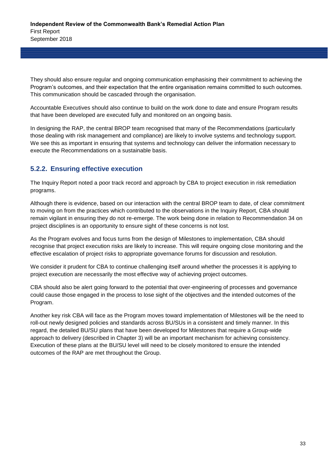They should also ensure regular and ongoing communication emphasising their commitment to achieving the Program's outcomes, and their expectation that the entire organisation remains committed to such outcomes. This communication should be cascaded through the organisation.

Accountable Executives should also continue to build on the work done to date and ensure Program results that have been developed are executed fully and monitored on an ongoing basis.

In designing the RAP, the central BROP team recognised that many of the Recommendations (particularly those dealing with risk management and compliance) are likely to involve systems and technology support. We see this as important in ensuring that systems and technology can deliver the information necessary to execute the Recommendations on a sustainable basis.

#### **5.2.2. Ensuring effective execution**

The Inquiry Report noted a poor track record and approach by CBA to project execution in risk remediation programs.

Although there is evidence, based on our interaction with the central BROP team to date, of clear commitment to moving on from the practices which contributed to the observations in the Inquiry Report, CBA should remain vigilant in ensuring they do not re-emerge. The work being done in relation to Recommendation 34 on project disciplines is an opportunity to ensure sight of these concerns is not lost.

As the Program evolves and focus turns from the design of Milestones to implementation, CBA should recognise that project execution risks are likely to increase. This will require ongoing close monitoring and the effective escalation of project risks to appropriate governance forums for discussion and resolution.

We consider it prudent for CBA to continue challenging itself around whether the processes it is applying to project execution are necessarily the most effective way of achieving project outcomes.

CBA should also be alert going forward to the potential that over-engineering of processes and governance could cause those engaged in the process to lose sight of the objectives and the intended outcomes of the Program.

Another key risk CBA will face as the Program moves toward implementation of Milestones will be the need to roll-out newly designed policies and standards across BU/SUs in a consistent and timely manner. In this regard, the detailed BU/SU plans that have been developed for Milestones that require a Group-wide approach to delivery (described in Chapter 3) will be an important mechanism for achieving consistency. Execution of these plans at the BU/SU level will need to be closely monitored to ensure the intended outcomes of the RAP are met throughout the Group.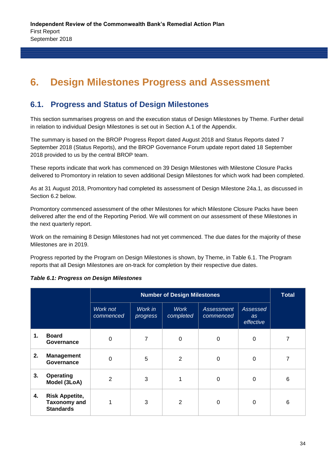## **6. Design Milestones Progress and Assessment**

### **6.1. Progress and Status of Design Milestones**

This section summarises progress on and the execution status of Design Milestones by Theme. Further detail in relation to individual Design Milestones is set out in Section A.1 of the Appendix.

The summary is based on the BROP Progress Report dated August 2018 and Status Reports dated 7 September 2018 (Status Reports), and the BROP Governance Forum update report dated 18 September 2018 provided to us by the central BROP team.

These reports indicate that work has commenced on 39 Design Milestones with Milestone Closure Packs delivered to Promontory in relation to seven additional Design Milestones for which work had been completed.

As at 31 August 2018, Promontory had completed its assessment of Design Milestone 24a.1, as discussed in Section 6.2 below.

Promontory commenced assessment of the other Milestones for which Milestone Closure Packs have been delivered after the end of the Reporting Period. We will comment on our assessment of these Milestones in the next quarterly report.

Work on the remaining 8 Design Milestones had not yet commenced. The due dates for the majority of these Milestones are in 2019.

Progress reported by the Program on Design Milestones is shown, by Theme, in Table 6.1. The Program reports that all Design Milestones are on-track for completion by their respective due dates.

|    |                                                                  |                       | <b>Number of Design Milestones</b> |                          |                         |                             |   |  |  |
|----|------------------------------------------------------------------|-----------------------|------------------------------------|--------------------------|-------------------------|-----------------------------|---|--|--|
|    |                                                                  | Work not<br>commenced | Work in<br>progress                | <b>Work</b><br>completed | Assessment<br>commenced | Assessed<br>as<br>effective |   |  |  |
| 1. | <b>Board</b><br>Governance                                       | 0                     | 7                                  | $\Omega$                 | 0                       | 0                           | 7 |  |  |
| 2. | <b>Management</b><br>Governance                                  | $\Omega$              | 5                                  | 2                        | 0                       | $\Omega$                    |   |  |  |
| 3. | <b>Operating</b><br>Model (3LoA)                                 | 2                     | 3                                  |                          | 0                       | 0                           | 6 |  |  |
| 4. | <b>Risk Appetite,</b><br><b>Taxonomy and</b><br><b>Standards</b> |                       | 3                                  | $\overline{2}$           | $\Omega$                | $\Omega$                    | 6 |  |  |

#### *Table 6.1: Progress on Design Milestones*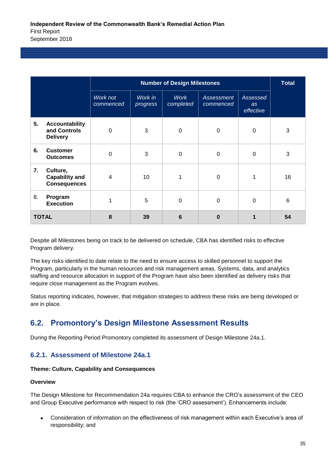|    |                                                          |                       | <b>Total</b>        |                          |                                |                             |    |
|----|----------------------------------------------------------|-----------------------|---------------------|--------------------------|--------------------------------|-----------------------------|----|
|    |                                                          | Work not<br>commenced | Work in<br>progress | <b>Work</b><br>completed | <b>Assessment</b><br>commenced | Assessed<br>as<br>effective |    |
| 5. | <b>Accountability</b><br>and Controls<br><b>Delivery</b> | 0                     | 3                   | $\mathbf 0$              | 0                              | 0                           | 3  |
| 6. | <b>Customer</b><br><b>Outcomes</b>                       | $\Omega$              | 3                   | $\mathbf 0$              | $\Omega$                       | 0                           | 3  |
| 7. | Culture,<br><b>Capability and</b><br><b>Consequences</b> | 4                     | 10                  | 1                        | $\Omega$                       | 1                           | 16 |
| 8. | Program<br><b>Execution</b>                              |                       | 5                   | $\mathbf 0$              | $\Omega$                       | 0                           | 6  |
|    | <b>TOTAL</b>                                             | 8                     | 39                  | 6                        | $\bf{0}$                       | 1                           | 54 |

Despite all Milestones being on track to be delivered on schedule, CBA has identified risks to effective Program delivery.

The key risks identified to date relate to the need to ensure access to skilled personnel to support the Program, particularly in the human resources and risk management areas. Systems, data, and analytics staffing and resource allocation in support of the Program have also been identified as delivery risks that require close management as the Program evolves.

Status reporting indicates, however, that mitigation strategies to address these risks are being developed or are in place.

## **6.2. Promontory's Design Milestone Assessment Results**

During the Reporting Period Promontory completed its assessment of Design Milestone 24a.1.

#### **6.2.1. Assessment of Milestone 24a.1**

#### **Theme: Culture, Capability and Consequences**

#### **Overview**

The Design Milestone for Recommendation 24a requires CBA to enhance the CRO's assessment of the CEO and Group Executive performance with respect to risk (the 'CRO assessment'). Enhancements include:

 Consideration of information on the effectiveness of risk management within each Executive's area of responsibility; and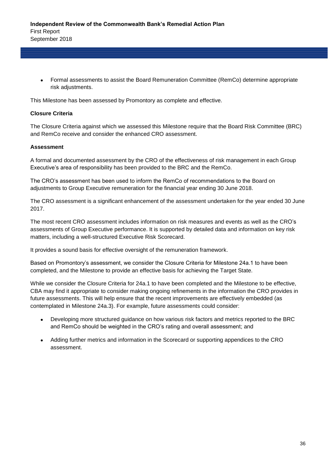Formal assessments to assist the Board Remuneration Committee (RemCo) determine appropriate risk adjustments.

This Milestone has been assessed by Promontory as complete and effective.

#### **Closure Criteria**

The Closure Criteria against which we assessed this Milestone require that the Board Risk Committee (BRC) and RemCo receive and consider the enhanced CRO assessment.

#### **Assessment**

A formal and documented assessment by the CRO of the effectiveness of risk management in each Group Executive's area of responsibility has been provided to the BRC and the RemCo.

The CRO's assessment has been used to inform the RemCo of recommendations to the Board on adjustments to Group Executive remuneration for the financial year ending 30 June 2018.

The CRO assessment is a significant enhancement of the assessment undertaken for the year ended 30 June 2017.

The most recent CRO assessment includes information on risk measures and events as well as the CRO's assessments of Group Executive performance. It is supported by detailed data and information on key risk matters, including a well-structured Executive Risk Scorecard.

It provides a sound basis for effective oversight of the remuneration framework.

Based on Promontory's assessment, we consider the Closure Criteria for Milestone 24a.1 to have been completed, and the Milestone to provide an effective basis for achieving the Target State.

While we consider the Closure Criteria for 24a.1 to have been completed and the Milestone to be effective, CBA may find it appropriate to consider making ongoing refinements in the information the CRO provides in future assessments. This will help ensure that the recent improvements are effectively embedded (as contemplated in Milestone 24a.3). For example, future assessments could consider:

- Developing more structured guidance on how various risk factors and metrics reported to the BRC and RemCo should be weighted in the CRO's rating and overall assessment; and
- Adding further metrics and information in the Scorecard or supporting appendices to the CRO assessment.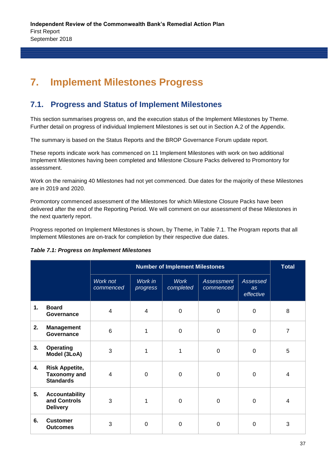## **7. Implement Milestones Progress**

## **7.1. Progress and Status of Implement Milestones**

This section summarises progress on, and the execution status of the Implement Milestones by Theme. Further detail on progress of individual Implement Milestones is set out in Section A.2 of the Appendix.

The summary is based on the Status Reports and the BROP Governance Forum update report.

These reports indicate work has commenced on 11 Implement Milestones with work on two additional Implement Milestones having been completed and Milestone Closure Packs delivered to Promontory for assessment.

Work on the remaining 40 Milestones had not yet commenced. Due dates for the majority of these Milestones are in 2019 and 2020.

Promontory commenced assessment of the Milestones for which Milestone Closure Packs have been delivered after the end of the Reporting Period. We will comment on our assessment of these Milestones in the next quarterly report.

Progress reported on Implement Milestones is shown, by Theme, in Table 7.1. The Program reports that all Implement Milestones are on-track for completion by their respective due dates.

#### *Table 7.1: Progress on Implement Milestones*

|    |                                                                  |                       |                     | <b>Number of Implement Milestones</b> |                         |                             | <b>Total</b>   |
|----|------------------------------------------------------------------|-----------------------|---------------------|---------------------------------------|-------------------------|-----------------------------|----------------|
|    |                                                                  | Work not<br>commenced | Work in<br>progress | <b>Work</b><br>completed              | Assessment<br>commenced | Assessed<br>as<br>effective |                |
| 1. | <b>Board</b><br>Governance                                       | 4                     | $\overline{4}$      | $\mathbf 0$                           | 0                       | $\Omega$                    | 8              |
| 2. | <b>Management</b><br>Governance                                  | 6                     | 1                   | $\overline{0}$                        | $\Omega$                | $\Omega$                    | $\overline{7}$ |
| 3. | Operating<br>Model (3LoA)                                        | 3                     | 1                   | 1                                     | $\Omega$                | $\Omega$                    | 5              |
| 4. | <b>Risk Appetite,</b><br><b>Taxonomy and</b><br><b>Standards</b> | 4                     | $\Omega$            | $\Omega$                              | $\Omega$                | $\Omega$                    | 4              |
| 5. | <b>Accountability</b><br>and Controls<br><b>Delivery</b>         | 3                     | 1                   | $\Omega$                              | $\Omega$                | $\Omega$                    | 4              |
| 6. | <b>Customer</b><br><b>Outcomes</b>                               | 3                     | $\Omega$            | $\Omega$                              | $\Omega$                | $\Omega$                    | 3              |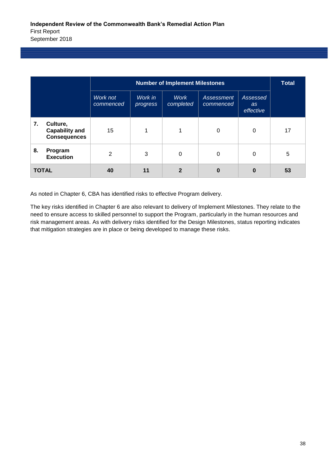|    |                                                          |                       | <b>Number of Implement Milestones</b> |                          |                         |                             |    |  |  |
|----|----------------------------------------------------------|-----------------------|---------------------------------------|--------------------------|-------------------------|-----------------------------|----|--|--|
|    |                                                          | Work not<br>commenced | Work in<br>progress                   | <b>Work</b><br>completed | Assessment<br>commenced | Assessed<br>as<br>effective |    |  |  |
| 7. | Culture,<br><b>Capability and</b><br><b>Consequences</b> | 15                    |                                       |                          | $\Omega$                | 0                           | 17 |  |  |
| 8. | Program<br><b>Execution</b>                              | 2                     | 3                                     | 0                        | $\Omega$                | 0                           | 5  |  |  |
|    | <b>TOTAL</b>                                             | 40                    | 11                                    | $\mathbf{2}$             | $\bf{0}$                | 0                           | 53 |  |  |

As noted in Chapter 6, CBA has identified risks to effective Program delivery.

The key risks identified in Chapter 6 are also relevant to delivery of Implement Milestones. They relate to the need to ensure access to skilled personnel to support the Program, particularly in the human resources and risk management areas. As with delivery risks identified for the Design Milestones, status reporting indicates that mitigation strategies are in place or being developed to manage these risks.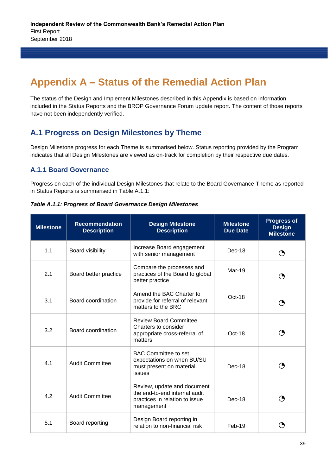## **Appendix A – Status of the Remedial Action Plan**

The status of the Design and Implement Milestones described in this Appendix is based on information included in the Status Reports and the BROP Governance Forum update report. The content of those reports have not been independently verified.

### **A.1 Progress on Design Milestones by Theme**

Design Milestone progress for each Theme is summarised below. Status reporting provided by the Program indicates that all Design Milestones are viewed as on-track for completion by their respective due dates.

#### **A.1.1 Board Governance**

Progress on each of the individual Design Milestones that relate to the Board Governance Theme as reported in Status Reports is summarised in Table A.1.1:

*Table A.1.1: Progress of Board Governance Design Milestones*

| <b>Milestone</b> | <b>Recommendation</b><br><b>Description</b> | <b>Design Milestone</b><br><b>Description</b>                                                                | <b>Milestone</b><br><b>Due Date</b> | <b>Progress of</b><br><b>Design</b><br><b>Milestone</b> |
|------------------|---------------------------------------------|--------------------------------------------------------------------------------------------------------------|-------------------------------------|---------------------------------------------------------|
| 1.1              | Board visibility                            | Increase Board engagement<br>with senior management                                                          | $Dec-18$                            |                                                         |
| 2.1              | Board better practice                       | Compare the processes and<br>practices of the Board to global<br>better practice                             | Mar-19                              |                                                         |
| 3.1              | Board coordination                          | Amend the BAC Charter to<br>provide for referral of relevant<br>matters to the BRC                           | Oct-18                              |                                                         |
| 3.2              | Board coordination                          | <b>Review Board Committee</b><br>Charters to consider<br>appropriate cross-referral of<br>matters            | $Oct-18$                            |                                                         |
| 4.1              | <b>Audit Committee</b>                      | <b>BAC Committee to set</b><br>expectations on when BU/SU<br>must present on material<br>issues              | $Dec-18$                            |                                                         |
| 4.2              | <b>Audit Committee</b>                      | Review, update and document<br>the end-to-end internal audit<br>practices in relation to issue<br>management | Dec-18                              | O                                                       |
| 5.1              | Board reporting                             | Design Board reporting in<br>relation to non-financial risk                                                  | $Feb-19$                            |                                                         |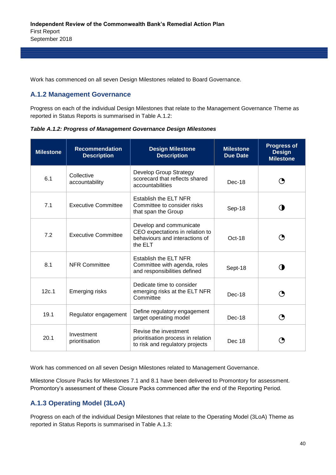Work has commenced on all seven Design Milestones related to Board Governance.

#### **A.1.2 Management Governance**

Progress on each of the individual Design Milestones that relate to the Management Governance Theme as reported in Status Reports is summarised in Table A.1.2:

*Table A.1.2: Progress of Management Governance Design Milestones* 

| <b>Milestone</b> | <b>Recommendation</b><br><b>Description</b> | <b>Design Milestone</b><br><b>Description</b>                                                           | <b>Milestone</b><br><b>Due Date</b> | <b>Progress of</b><br><b>Design</b><br><b>Milestone</b> |
|------------------|---------------------------------------------|---------------------------------------------------------------------------------------------------------|-------------------------------------|---------------------------------------------------------|
| 6.1              | Collective<br>accountability                | Develop Group Strategy<br>scorecard that reflects shared<br>accountabilities                            | Dec-18                              |                                                         |
| 7.1              | <b>Executive Committee</b>                  | Establish the ELT NFR<br>Committee to consider risks<br>that span the Group                             | Sep-18                              | ( ∎                                                     |
| 7.2              | Executive Committee                         | Develop and communicate<br>CEO expectations in relation to<br>behaviours and interactions of<br>the ELT | Oct-18                              | (9                                                      |
| 8.1              | <b>NFR Committee</b>                        | Establish the ELT NFR<br>Committee with agenda, roles<br>and responsibilities defined                   | Sept-18                             |                                                         |
| 12c.1            | <b>Emerging risks</b>                       | Dedicate time to consider<br>emerging risks at the ELT NFR<br>Committee                                 | $Dec-18$                            |                                                         |
| 19.1             | Regulator engagement                        | Define regulatory engagement<br>target operating model                                                  | Dec-18                              | O                                                       |
| 20.1             | Investment<br>prioritisation                | Revise the investment<br>prioritisation process in relation<br>to risk and regulatory projects          | Dec 18                              |                                                         |

Work has commenced on all seven Design Milestones related to Management Governance.

Milestone Closure Packs for Milestones 7.1 and 8.1 have been delivered to Promontory for assessment. Promontory's assessment of these Closure Packs commenced after the end of the Reporting Period.

#### **A.1.3 Operating Model (3LoA)**

Progress on each of the individual Design Milestones that relate to the Operating Model (3LoA) Theme as reported in Status Reports is summarised in Table A.1.3: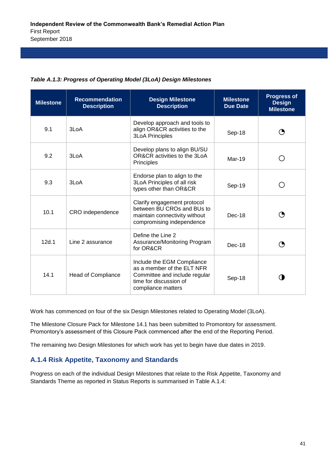| <b>Milestone</b> | <b>Recommendation</b><br><b>Description</b> | <b>Design Milestone</b><br><b>Description</b>                                                                                             | <b>Milestone</b><br><b>Due Date</b> | <b>Progress of</b><br><b>Design</b><br><b>Milestone</b> |
|------------------|---------------------------------------------|-------------------------------------------------------------------------------------------------------------------------------------------|-------------------------------------|---------------------------------------------------------|
| 9.1              | 3LoA                                        | Develop approach and tools to<br>align OR&CR activities to the<br><b>3LoA Principles</b>                                                  | Sep-18                              |                                                         |
| 9.2              | 3LoA                                        | Develop plans to align BU/SU<br>OR&CR activities to the 3LoA<br><b>Principles</b>                                                         | $Mar-19$                            |                                                         |
| 9.3              | 3LoA                                        | Endorse plan to align to the<br>3LoA Principles of all risk<br>types other than OR&CR                                                     | Sep-19                              |                                                         |
| 10.1             | CRO independence                            | Clarify engagement protocol<br>between BU CROs and BUs to<br>maintain connectivity without<br>compromising independence                   | $Dec-18$                            | O                                                       |
| 12d.1            | Line 2 assurance                            | Define the Line 2<br>Assurance/Monitoring Program<br>for OR&CR                                                                            | $Dec-18$                            |                                                         |
| 14.1             | <b>Head of Compliance</b>                   | Include the EGM Compliance<br>as a member of the ELT NFR<br>Committee and include regular<br>time for discussion of<br>compliance matters | Sep-18                              |                                                         |

#### *Table A.1.3: Progress of Operating Model (3LoA) Design Milestones*

Work has commenced on four of the six Design Milestones related to Operating Model (3LoA).

The Milestone Closure Pack for Milestone 14.1 has been submitted to Promontory for assessment. Promontory's assessment of this Closure Pack commenced after the end of the Reporting Period.

The remaining two Design Milestones for which work has yet to begin have due dates in 2019.

#### **A.1.4 Risk Appetite, Taxonomy and Standards**

Progress on each of the individual Design Milestones that relate to the Risk Appetite, Taxonomy and Standards Theme as reported in Status Reports is summarised in Table A.1.4: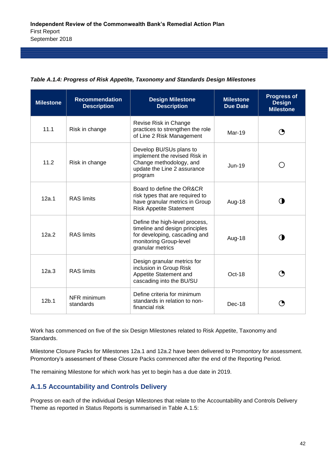|  | Table A.1.4: Progress of Risk Appetite, Taxonomy and Standards Design Milestones |  |  |
|--|----------------------------------------------------------------------------------|--|--|
|  |                                                                                  |  |  |

| <b>Milestone</b>  | <b>Recommendation</b><br><b>Description</b> | <b>Design Milestone</b><br><b>Description</b>                                                                                                   | <b>Milestone</b><br><b>Due Date</b> | <b>Progress of</b><br><b>Design</b><br><b>Milestone</b> |
|-------------------|---------------------------------------------|-------------------------------------------------------------------------------------------------------------------------------------------------|-------------------------------------|---------------------------------------------------------|
| 11.1              | Risk in change                              | Revise Risk in Change<br>practices to strengthen the role<br>of Line 2 Risk Management                                                          | Mar-19                              |                                                         |
| 11.2              | Risk in change                              | Develop BU/SUs plans to<br>implement the revised Risk in<br>Change methodology, and<br>update the Line 2 assurance<br>program                   | $Jun-19$                            |                                                         |
| 12a.1             | <b>RAS</b> limits                           | Board to define the OR&CR<br>risk types that are required to<br>have granular metrics in Group<br><b>Risk Appetite Statement</b>                | Aug-18                              |                                                         |
| 12a.2             | <b>RAS</b> limits                           | Define the high-level process,<br>timeline and design principles<br>for developing, cascading and<br>monitoring Group-level<br>granular metrics | Aug-18                              |                                                         |
| 12a.3             | <b>RAS</b> limits                           | Design granular metrics for<br>inclusion in Group Risk<br>Appetite Statement and<br>cascading into the BU/SU                                    | Oct-18                              |                                                         |
| 12 <sub>b</sub> 1 | NFR minimum<br>standards                    | Define criteria for minimum<br>standards in relation to non-<br>financial risk                                                                  | $Dec-18$                            |                                                         |

Work has commenced on five of the six Design Milestones related to Risk Appetite, Taxonomy and Standards.

Milestone Closure Packs for Milestones 12a.1 and 12a.2 have been delivered to Promontory for assessment. Promontory's assessment of these Closure Packs commenced after the end of the Reporting Period.

The remaining Milestone for which work has yet to begin has a due date in 2019.

#### **A.1.5 Accountability and Controls Delivery**

Progress on each of the individual Design Milestones that relate to the Accountability and Controls Delivery Theme as reported in Status Reports is summarised in Table A.1.5: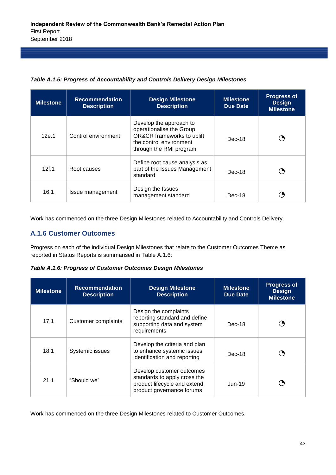*Table A.1.5: Progress of Accountability and Controls Delivery Design Milestones*

| <b>Milestone</b> | <b>Recommendation</b><br><b>Description</b> | <b>Design Milestone</b><br><b>Description</b>                                                                                           | <b>Milestone</b><br><b>Due Date</b> | <b>Progress of</b><br><b>Design</b><br><b>Milestone</b> |
|------------------|---------------------------------------------|-----------------------------------------------------------------------------------------------------------------------------------------|-------------------------------------|---------------------------------------------------------|
| 12e.1            | Control environment                         | Develop the approach to<br>operationalise the Group<br>OR&CR frameworks to uplift<br>the control environment<br>through the RMI program | $Dec-18$                            |                                                         |
| 12f.1            | Root causes                                 | Define root cause analysis as<br>part of the Issues Management<br>standard                                                              | $Dec-18$                            |                                                         |
| 16.1             | Issue management                            | Design the Issues<br>management standard                                                                                                | Dec-18                              |                                                         |

Work has commenced on the three Design Milestones related to Accountability and Controls Delivery.

#### **A.1.6 Customer Outcomes**

Progress on each of the individual Design Milestones that relate to the Customer Outcomes Theme as reported in Status Reports is summarised in Table A.1.6:

*Table A.1.6: Progress of Customer Outcomes Design Milestones*

| <b>Milestone</b> | <b>Recommendation</b><br><b>Description</b> | <b>Design Milestone</b><br><b>Description</b>                                                                          | <b>Milestone</b><br>Due Date | <b>Progress of</b><br><b>Design</b><br><b>Milestone</b> |
|------------------|---------------------------------------------|------------------------------------------------------------------------------------------------------------------------|------------------------------|---------------------------------------------------------|
| 17.1             | <b>Customer complaints</b>                  | Design the complaints<br>reporting standard and define<br>supporting data and system<br>requirements                   | Dec-18                       |                                                         |
| 18.1             | Systemic issues                             | Develop the criteria and plan<br>to enhance systemic issues<br>identification and reporting                            | $Dec-18$                     |                                                         |
| 21.1             | "Should we"                                 | Develop customer outcomes<br>standards to apply cross the<br>product lifecycle and extend<br>product governance forums | $Jun-19$                     |                                                         |

Work has commenced on the three Design Milestones related to Customer Outcomes.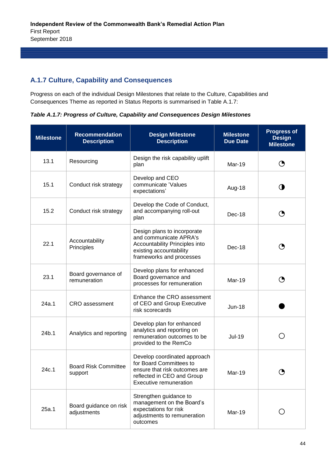#### **A.1.7 Culture, Capability and Consequences**

Progress on each of the individual Design Milestones that relate to the Culture, Capabilities and Consequences Theme as reported in Status Reports is summarised in Table A.1.7:

*Table A.1.7: Progress of Culture, Capability and Consequences Design Milestones*

| <b>Milestone</b> | <b>Recommendation</b><br><b>Description</b> | <b>Design Milestone</b><br><b>Description</b>                                                                                                           | <b>Milestone</b><br><b>Due Date</b> | <b>Progress of</b><br><b>Design</b><br><b>Milestone</b> |
|------------------|---------------------------------------------|---------------------------------------------------------------------------------------------------------------------------------------------------------|-------------------------------------|---------------------------------------------------------|
| 13.1             | Resourcing                                  | Design the risk capability uplift<br>plan                                                                                                               | Mar-19                              | ◔                                                       |
| 15.1             | Conduct risk strategy                       | Develop and CEO<br>communicate 'Values<br>expectations'                                                                                                 | Aug-18                              | O                                                       |
| 15.2             | Conduct risk strategy                       | Develop the Code of Conduct,<br>and accompanying roll-out<br>plan                                                                                       | Dec-18                              | ◔                                                       |
| 22.1             | Accountability<br>Principles                | Design plans to incorporate<br>and communicate APRA's<br>Accountability Principles into<br>existing accountability<br>frameworks and processes          | Dec-18                              | ◔                                                       |
| 23.1             | Board governance of<br>remuneration         | Develop plans for enhanced<br>Board governance and<br>processes for remuneration                                                                        | Mar-19                              | ◔                                                       |
| 24a.1            | <b>CRO</b> assessment                       | Enhance the CRO assessment<br>of CEO and Group Executive<br>risk scorecards                                                                             | <b>Jun-18</b>                       |                                                         |
| 24b.1            | Analytics and reporting                     | Develop plan for enhanced<br>analytics and reporting on<br>remuneration outcomes to be<br>provided to the RemCo                                         | <b>Jul-19</b>                       | $\left(\begin{array}{c} 1 \end{array}\right)$           |
| 24c.1            | <b>Board Risk Committee</b><br>support      | Develop coordinated approach<br>for Board Committees to<br>ensure that risk outcomes are<br>reflected in CEO and Group<br><b>Executive remuneration</b> | Mar-19                              |                                                         |
| 25a.1            | Board guidance on risk<br>adjustments       | Strengthen guidance to<br>management on the Board's<br>expectations for risk<br>adjustments to remuneration<br>outcomes                                 | Mar-19                              |                                                         |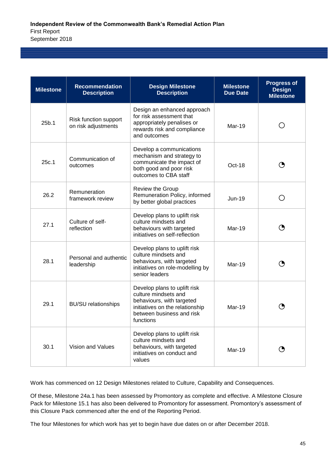| <b>Milestone</b> | <b>Recommendation</b><br><b>Description</b>  | <b>Design Milestone</b><br><b>Description</b>                                                                                                                  | <b>Milestone</b><br><b>Due Date</b> | <b>Progress of</b><br><b>Design</b><br><b>Milestone</b> |
|------------------|----------------------------------------------|----------------------------------------------------------------------------------------------------------------------------------------------------------------|-------------------------------------|---------------------------------------------------------|
| 25b.1            | Risk function support<br>on risk adjustments | Design an enhanced approach<br>for risk assessment that<br>appropriately penalises or<br>rewards risk and compliance<br>and outcomes                           | $Mar-19$                            |                                                         |
| 25c.1            | Communication of<br>outcomes                 | Develop a communications<br>mechanism and strategy to<br>communicate the impact of<br>both good and poor risk<br>outcomes to CBA staff                         | $Oct-18$                            |                                                         |
| 26.2             | Remuneration<br>framework review             | Review the Group<br>Remuneration Policy, informed<br>by better global practices                                                                                | $Jun-19$                            |                                                         |
| 27.1             | Culture of self-<br>reflection               | Develop plans to uplift risk<br>culture mindsets and<br>behaviours with targeted<br>initiatives on self-reflection                                             | $Mar-19$                            |                                                         |
| 28.1             | Personal and authentic<br>leadership         | Develop plans to uplift risk<br>culture mindsets and<br>behaviours, with targeted<br>initiatives on role-modelling by<br>senior leaders                        | Mar-19                              |                                                         |
| 29.1             | <b>BU/SU</b> relationships                   | Develop plans to uplift risk<br>culture mindsets and<br>behaviours, with targeted<br>initiatives on the relationship<br>between business and risk<br>functions | $Mar-19$                            |                                                         |
| 30.1             | Vision and Values                            | Develop plans to uplift risk<br>culture mindsets and<br>behaviours, with targeted<br>initiatives on conduct and<br>values                                      | Mar-19                              |                                                         |

Work has commenced on 12 Design Milestones related to Culture, Capability and Consequences.

Of these, Milestone 24a.1 has been assessed by Promontory as complete and effective. A Milestone Closure Pack for Milestone 15.1 has also been delivered to Promontory for assessment. Promontory's assessment of this Closure Pack commenced after the end of the Reporting Period.

The four Milestones for which work has yet to begin have due dates on or after December 2018.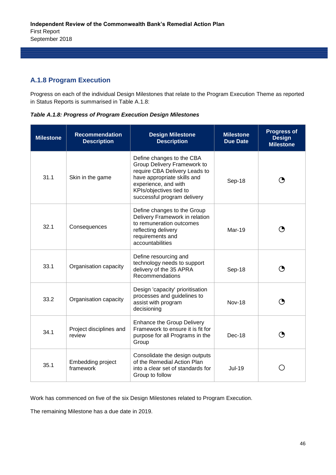#### **A.1.8 Program Execution**

Progress on each of the individual Design Milestones that relate to the Program Execution Theme as reported in Status Reports is summarised in Table A.1.8:

*Table A.1.8: Progress of Program Execution Design Milestones*

| <b>Milestone</b> | <b>Recommendation</b><br><b>Description</b> | <b>Design Milestone</b><br><b>Description</b>                                                                                                                                                              | <b>Milestone</b><br><b>Due Date</b> | <b>Progress of</b><br><b>Design</b><br><b>Milestone</b> |
|------------------|---------------------------------------------|------------------------------------------------------------------------------------------------------------------------------------------------------------------------------------------------------------|-------------------------------------|---------------------------------------------------------|
| 31.1             | Skin in the game                            | Define changes to the CBA<br>Group Delivery Framework to<br>require CBA Delivery Leads to<br>have appropriate skills and<br>experience, and with<br>KPIs/objectives tied to<br>successful program delivery | Sep-18                              | ◑                                                       |
| 32.1             | Consequences                                | Define changes to the Group<br>Delivery Framework in relation<br>to remuneration outcomes<br>reflecting delivery<br>requirements and<br>accountabilities                                                   | Mar-19                              |                                                         |
| 33.1             | Organisation capacity                       | Define resourcing and<br>technology needs to support<br>delivery of the 35 APRA<br>Recommendations                                                                                                         | Sep-18                              | ◑                                                       |
| 33.2             | Organisation capacity                       | Design 'capacity' prioritisation<br>processes and guidelines to<br>assist with program<br>decisioning                                                                                                      | <b>Nov-18</b>                       |                                                         |
| 34.1             | Project disciplines and<br>review           | <b>Enhance the Group Delivery</b><br>Framework to ensure it is fit for<br>purpose for all Programs in the<br>Group                                                                                         | $Dec-18$                            |                                                         |
| 35.1             | Embedding project<br>framework              | Consolidate the design outputs<br>of the Remedial Action Plan<br>into a clear set of standards for<br>Group to follow                                                                                      | <b>Jul-19</b>                       |                                                         |

Work has commenced on five of the six Design Milestones related to Program Execution.

The remaining Milestone has a due date in 2019.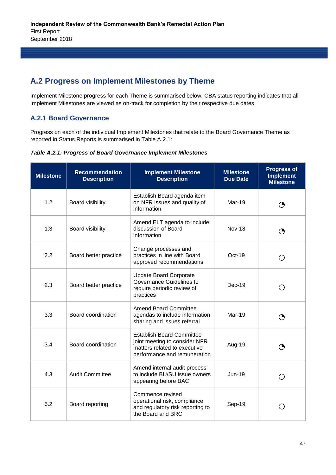## **A.2 Progress on Implement Milestones by Theme**

Implement Milestone progress for each Theme is summarised below. CBA status reporting indicates that all Implement Milestones are viewed as on-track for completion by their respective due dates.

#### **A.2.1 Board Governance**

Progress on each of the individual Implement Milestones that relate to the Board Governance Theme as reported in Status Reports is summarised in Table A.2.1:

*Table A.2.1: Progress of Board Governance Implement Milestones*

| <b>Milestone</b> | <b>Recommendation</b><br><b>Description</b> | <b>Implement Milestone</b><br><b>Description</b>                                                                                  | <b>Milestone</b><br><b>Due Date</b> | <b>Progress of</b><br><b>Implement</b><br><b>Milestone</b> |
|------------------|---------------------------------------------|-----------------------------------------------------------------------------------------------------------------------------------|-------------------------------------|------------------------------------------------------------|
| 1.2              | Board visibility                            | Establish Board agenda item<br>on NFR issues and quality of<br>information                                                        | Mar-19                              | ◑                                                          |
| 1.3              | Board visibility                            | Amend ELT agenda to include<br>discussion of Board<br><b>Nov-18</b><br>information                                                |                                     | ◑                                                          |
| 2.2              | Board better practice                       | Change processes and<br>practices in line with Board<br>approved recommendations                                                  | Oct-19                              | ( )                                                        |
| 2.3              | Board better practice                       | <b>Update Board Corporate</b><br>Governance Guidelines to<br>require periodic review of<br>practices                              | Dec-19                              | $\Box$                                                     |
| 3.3              | Board coordination                          | <b>Amend Board Committee</b><br>agendas to include information<br>sharing and issues referral                                     | <b>Mar-19</b>                       | ◑                                                          |
| 3.4              | Board coordination                          | <b>Establish Board Committee</b><br>joint meeting to consider NFR<br>matters related to executive<br>performance and remuneration | Aug-19                              | ◔                                                          |
| 4.3              | <b>Audit Committee</b>                      | Amend internal audit process<br>to include BU/SU issue owners<br>appearing before BAC                                             | <b>Jun-19</b>                       |                                                            |
| 5.2              | Board reporting                             | Commence revised<br>operational risk, compliance<br>and regulatory risk reporting to<br>the Board and BRC                         | Sep-19                              |                                                            |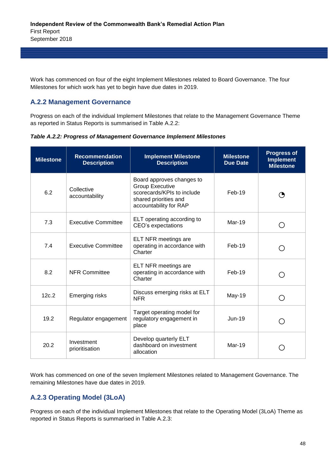Work has commenced on four of the eight Implement Milestones related to Board Governance. The four Milestones for which work has yet to begin have due dates in 2019.

#### **A.2.2 Management Governance**

Progress on each of the individual Implement Milestones that relate to the Management Governance Theme as reported in Status Reports is summarised in Table A.2.2:

*Table A.2.2: Progress of Management Governance Implement Milestones*

| <b>Milestone</b> | <b>Recommendation</b><br><b>Description</b> | <b>Implement Milestone</b><br><b>Description</b>                                                                                     | <b>Milestone</b><br><b>Due Date</b> | <b>Progress of</b><br><b>Implement</b><br><b>Milestone</b> |
|------------------|---------------------------------------------|--------------------------------------------------------------------------------------------------------------------------------------|-------------------------------------|------------------------------------------------------------|
| 6.2              | Collective<br>accountability                | Board approves changes to<br><b>Group Executive</b><br>scorecards/KPIs to include<br>shared priorities and<br>accountability for RAP | $Feb-19$                            |                                                            |
| 7.3              | <b>Executive Committee</b>                  | ELT operating according to<br>CEO's expectations                                                                                     | Mar-19                              | ( )                                                        |
| 7.4              | <b>Executive Committee</b>                  | ELT NFR meetings are<br>operating in accordance with<br>Charter                                                                      | Feb-19                              | $\left(\begin{array}{c} \end{array}\right)$                |
| 8.2              | <b>NFR Committee</b>                        | ELT NFR meetings are<br>operating in accordance with<br>Charter                                                                      | $Feb-19$                            |                                                            |
| 12c.2            | <b>Emerging risks</b>                       | Discuss emerging risks at ELT<br><b>NFR</b>                                                                                          | May-19                              |                                                            |
| 19.2             | Regulator engagement                        | Target operating model for<br>regulatory engagement in<br>place                                                                      | $Jun-19$                            | $\left(\begin{array}{c} \end{array}\right)$                |
| 20.2             | Investment<br>prioritisation                | Develop quarterly ELT<br>dashboard on investment<br>allocation                                                                       | Mar-19                              |                                                            |

Work has commenced on one of the seven Implement Milestones related to Management Governance. The remaining Milestones have due dates in 2019.

#### **A.2.3 Operating Model (3LoA)**

Progress on each of the individual Implement Milestones that relate to the Operating Model (3LoA) Theme as reported in Status Reports is summarised in Table A.2.3: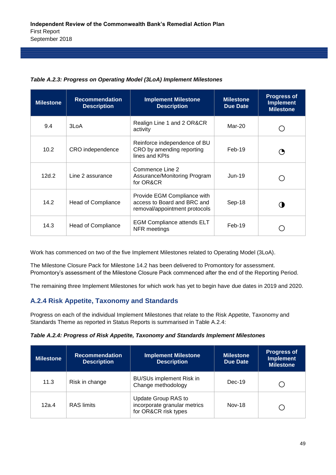| <b>Milestone</b> | <b>Recommendation</b><br><b>Description</b> | <b>Implement Milestone</b><br><b>Description</b>                                            | <b>Milestone</b><br><b>Due Date</b> | <b>Progress of</b><br><b>Implement</b><br><b>Milestone</b> |
|------------------|---------------------------------------------|---------------------------------------------------------------------------------------------|-------------------------------------|------------------------------------------------------------|
| 9.4              | 3LoA                                        | Realign Line 1 and 2 OR&CR<br>activity                                                      | Mar-20                              |                                                            |
| 10.2             | CRO independence                            | Reinforce independence of BU<br>CRO by amending reporting<br>lines and KPIs                 | Feb-19                              | ( ♥                                                        |
| 12d.2            | Line 2 assurance                            | Commence Line 2<br>Assurance/Monitoring Program<br>for OR&CR                                | $Jun-19$                            |                                                            |
| 14.2             | <b>Head of Compliance</b>                   | Provide EGM Compliance with<br>access to Board and BRC and<br>removal/appointment protocols | Sep-18                              |                                                            |
| 14.3             | Head of Compliance                          | <b>EGM Compliance attends ELT</b><br>NFR meetings                                           | $Feb-19$                            |                                                            |

#### *Table A.2.3: Progress on Operating Model (3LoA) Implement Milestones*

Work has commenced on two of the five Implement Milestones related to Operating Model (3LoA).

The Milestone Closure Pack for Milestone 14.2 has been delivered to Promontory for assessment. Promontory's assessment of the Milestone Closure Pack commenced after the end of the Reporting Period.

The remaining three Implement Milestones for which work has yet to begin have due dates in 2019 and 2020.

#### **A.2.4 Risk Appetite, Taxonomy and Standards**

Progress on each of the individual Implement Milestones that relate to the Risk Appetite, Taxonomy and Standards Theme as reported in Status Reports is summarised in Table A.2.4:

| Table A.2.4: Progress of Risk Appetite, Taxonomy and Standards Implement Milestones |  |  |  |
|-------------------------------------------------------------------------------------|--|--|--|
|                                                                                     |  |  |  |

| <b>Milestone</b> | <b>Recommendation</b><br><b>Description</b> | <b>Implement Milestone</b><br><b>Description</b>                            | <b>Milestone</b><br>Due Date | <b>Progress of</b><br><b>Implement</b><br><b>Milestone</b> |
|------------------|---------------------------------------------|-----------------------------------------------------------------------------|------------------------------|------------------------------------------------------------|
| 11.3             | Risk in change                              | <b>BU/SUs implement Risk in</b><br>Change methodology                       | $Dec-19$                     |                                                            |
| 12a.4            | <b>RAS</b> limits                           | Update Group RAS to<br>incorporate granular metrics<br>for OR&CR risk types | <b>Nov-18</b>                |                                                            |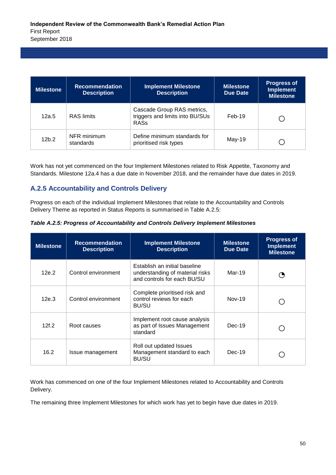| <b>Milestone</b>  | <b>Recommendation</b><br><b>Description</b> | <b>Implement Milestone</b><br><b>Description</b>                             | <b>Milestone</b><br>Due Date | <b>Progress of</b><br><b>Implement</b><br><b>Milestone</b> |
|-------------------|---------------------------------------------|------------------------------------------------------------------------------|------------------------------|------------------------------------------------------------|
| 12a.5             | <b>RAS</b> limits                           | Cascade Group RAS metrics,<br>triggers and limits into BU/SUs<br><b>RASs</b> | $Feb-19$                     |                                                            |
| 12 <sub>b.2</sub> | NFR minimum<br>standards                    | Define minimum standards for<br>prioritised risk types                       | May-19                       |                                                            |

Work has not yet commenced on the four Implement Milestones related to Risk Appetite, Taxonomy and Standards. Milestone 12a.4 has a due date in November 2018, and the remainder have due dates in 2019.

#### **A.2.5 Accountability and Controls Delivery**

Progress on each of the individual Implement Milestones that relate to the Accountability and Controls Delivery Theme as reported in Status Reports is summarised in Table A.2.5:

*Table A.2.5: Progress of Accountability and Controls Delivery Implement Milestones*

| <b>Milestone</b> | <b>Recommendation</b><br><b>Description</b> | <b>Implement Milestone</b><br><b>Description</b>                                                | <b>Milestone</b><br>Due Date | <b>Progress of</b><br><b>Implement</b><br><b>Milestone</b> |
|------------------|---------------------------------------------|-------------------------------------------------------------------------------------------------|------------------------------|------------------------------------------------------------|
| 12e.2            | Control environment                         | Establish an initial baseline<br>understanding of material risks<br>and controls for each BU/SU | Mar-19                       | ( 5                                                        |
| 12e.3            | Control environment                         | Complete prioritised risk and<br>control reviews for each<br>BU/SU                              | Nov-19                       |                                                            |
| 12f.2            | Root causes                                 | Implement root cause analysis<br>as part of Issues Management<br>standard                       | $Dec-19$                     |                                                            |
| 16.2             | Issue management                            | Roll out updated Issues<br>Management standard to each<br><b>BU/SU</b>                          | $Dec-19$                     |                                                            |

Work has commenced on one of the four Implement Milestones related to Accountability and Controls Delivery.

The remaining three Implement Milestones for which work has yet to begin have due dates in 2019.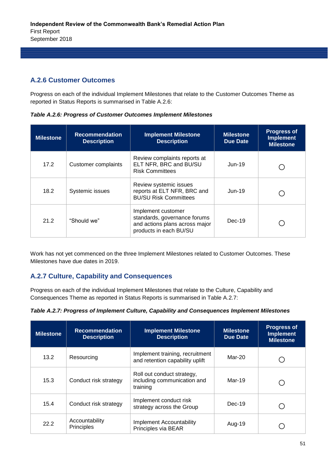#### **A.2.6 Customer Outcomes**

Progress on each of the individual Implement Milestones that relate to the Customer Outcomes Theme as reported in Status Reports is summarised in Table A.2.6:

*Table A.2.6: Progress of Customer Outcomes Implement Milestones*

| <b>Milestone</b> | <b>Recommendation</b><br><b>Description</b> | <b>Implement Milestone</b><br><b>Description</b>                                                               | <b>Milestone</b><br><b>Due Date</b> | <b>Progress of</b><br><b>Implement</b><br><b>Milestone</b> |
|------------------|---------------------------------------------|----------------------------------------------------------------------------------------------------------------|-------------------------------------|------------------------------------------------------------|
| 17.2             | <b>Customer complaints</b>                  | Review complaints reports at<br>ELT NFR, BRC and BU/SU<br><b>Risk Committees</b>                               | $Jun-19$                            |                                                            |
| 18.2             | Systemic issues                             | Review systemic issues<br>reports at ELT NFR, BRC and<br><b>BU/SU Risk Committees</b>                          | $Jun-19$                            |                                                            |
| 21.2             | "Should we"                                 | Implement customer<br>standards, governance forums<br>and actions plans across major<br>products in each BU/SU | $Dec-19$                            |                                                            |

Work has not yet commenced on the three Implement Milestones related to Customer Outcomes. These Milestones have due dates in 2019.

#### **A.2.7 Culture, Capability and Consequences**

Progress on each of the individual Implement Milestones that relate to the Culture, Capability and Consequences Theme as reported in Status Reports is summarised in Table A.2.7:

| Table A.2.7: Progress of Implement Culture, Capability and Consequences Implement Milestones |  |  |
|----------------------------------------------------------------------------------------------|--|--|
|                                                                                              |  |  |

| <b>Milestone</b> | <b>Recommendation</b><br><b>Description</b> | <b>Implement Milestone</b><br><b>Description</b>                      | <b>Milestone</b><br><b>Due Date</b> | <b>Progress of</b><br><b>Implement</b><br><b>Milestone</b> |
|------------------|---------------------------------------------|-----------------------------------------------------------------------|-------------------------------------|------------------------------------------------------------|
| 13.2             | Resourcing                                  | Implement training, recruitment<br>and retention capability uplift    | Mar-20                              |                                                            |
| 15.3             | Conduct risk strategy                       | Roll out conduct strategy,<br>including communication and<br>training | Mar-19                              |                                                            |
| 15.4             | Conduct risk strategy                       | Implement conduct risk<br>strategy across the Group                   | $Dec-19$                            |                                                            |
| 22.2             | Accountability<br>Principles                | Implement Accountability<br>Principles via BEAR                       | Aug-19                              |                                                            |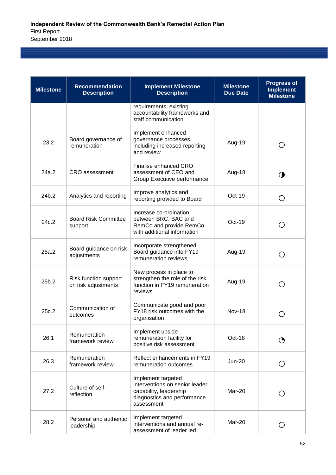| <b>Milestone</b> | <b>Recommendation</b><br><b>Description</b>  | <b>Implement Milestone</b><br><b>Description</b>                                                                            | <b>Milestone</b><br><b>Due Date</b> | <b>Progress of</b><br><b>Implement</b><br><b>Milestone</b> |
|------------------|----------------------------------------------|-----------------------------------------------------------------------------------------------------------------------------|-------------------------------------|------------------------------------------------------------|
|                  |                                              | requirements, existing<br>accountability frameworks and<br>staff communication                                              |                                     |                                                            |
| 23.2             | Board governance of<br>remuneration          | Implement enhanced<br>governance processes<br>including increased reporting<br>and review                                   | Aug-19                              | ( )                                                        |
| 24a.2            | CRO assessment                               | Finalise enhanced CRO<br>assessment of CEO and<br>Group Executive performance                                               | Aug-18                              | O                                                          |
| 24b.2            | Analytics and reporting                      | Improve analytics and<br>reporting provided to Board                                                                        | Oct-19                              | О                                                          |
| 24c.2            | <b>Board Risk Committee</b><br>support       | Increase co-ordination<br>between BRC, BAC and<br>RemCo and provide RemCo<br>with additional information                    | Oct-19                              | ()                                                         |
| 25a.2            | Board guidance on risk<br>adjustments        | Incorporate strengthened<br>Board guidance into FY19<br>remuneration reviews                                                | Aug-19                              | $\left( \begin{array}{c} \end{array} \right)$              |
| 25b.2            | Risk function support<br>on risk adjustments | New process in place to<br>strengthen the role of the risk<br>function in FY19 remuneration<br>reviews                      | Aug-19                              |                                                            |
| 25c.2            | Communication of<br>outcomes                 | Communicate good and poor<br>FY18 risk outcomes with the<br>organisation                                                    | <b>Nov-18</b>                       | ( )                                                        |
| 26.1             | Remuneration<br>framework review             | Implement upside<br>remuneration facility for<br>positive risk assessment                                                   | Oct-18                              |                                                            |
| 26.3             | Remuneration<br>framework review             | Reflect enhancements in FY19<br>remuneration outcomes                                                                       | <b>Jun-20</b>                       | Ο                                                          |
| 27.2             | Culture of self-<br>reflection               | Implement targeted<br>interventions on senior leader<br>capability, leadership<br>diagnostics and performance<br>assessment | Mar-20                              |                                                            |
| 28.2             | Personal and authentic<br>leadership         | Implement targeted<br>interventions and annual re-<br>assessment of leader led                                              | Mar-20                              | O                                                          |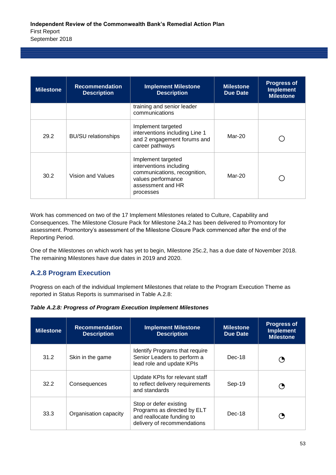| <b>Milestone</b> | <b>Recommendation</b><br><b>Description</b> | <b>Implement Milestone</b><br><b>Description</b>                                                                                      | <b>Milestone</b><br><b>Due Date</b> | <b>Progress of</b><br><b>Implement</b><br><b>Milestone</b> |
|------------------|---------------------------------------------|---------------------------------------------------------------------------------------------------------------------------------------|-------------------------------------|------------------------------------------------------------|
|                  |                                             | training and senior leader<br>communications                                                                                          |                                     |                                                            |
| 29.2             | <b>BU/SU</b> relationships                  | Implement targeted<br>interventions including Line 1<br>and 2 engagement forums and<br>career pathways                                | Mar-20                              |                                                            |
| 30.2             | Vision and Values                           | Implement targeted<br>interventions including<br>communications, recognition,<br>values performance<br>assessment and HR<br>processes | Mar-20                              |                                                            |

Work has commenced on two of the 17 Implement Milestones related to Culture, Capability and Consequences. The Milestone Closure Pack for Milestone 24a.2 has been delivered to Promontory for assessment. Promontory's assessment of the Milestone Closure Pack commenced after the end of the Reporting Period.

One of the Milestones on which work has yet to begin, Milestone 25c.2, has a due date of November 2018. The remaining Milestones have due dates in 2019 and 2020.

#### **A.2.8 Program Execution**

Progress on each of the individual Implement Milestones that relate to the Program Execution Theme as reported in Status Reports is summarised in Table A.2.8:

|  |  | Table A.2.8: Progress of Program Execution Implement Milestones |
|--|--|-----------------------------------------------------------------|
|--|--|-----------------------------------------------------------------|

| <b>Milestone</b> | <b>Recommendation</b><br><b>Description</b> | <b>Implement Milestone</b><br><b>Description</b>                                                                  | <b>Milestone</b><br><b>Due Date</b> | <b>Progress of</b><br><b>Implement</b><br><b>Milestone</b> |
|------------------|---------------------------------------------|-------------------------------------------------------------------------------------------------------------------|-------------------------------------|------------------------------------------------------------|
| 31.2             | Skin in the game                            | Identify Programs that require<br>Senior Leaders to perform a<br>lead role and update KPIs                        | $Dec-18$                            | ( )                                                        |
| 32.2             | Consequences                                | Update KPIs for relevant staff<br>to reflect delivery requirements<br>and standards                               | Sep-19                              | ( 5                                                        |
| 33.3             | Organisation capacity                       | Stop or defer existing<br>Programs as directed by ELT<br>and reallocate funding to<br>delivery of recommendations | $Dec-18$                            | ( 5                                                        |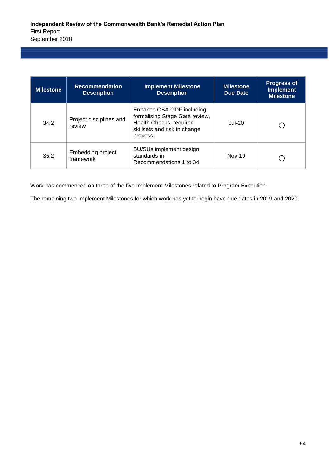| <b>Milestone</b> | <b>Recommendation</b><br><b>Description</b> | <b>Implement Milestone</b><br><b>Description</b>                                                                                  | <b>Milestone</b><br><b>Due Date</b> | <b>Progress of</b><br><b>Implement</b><br><b>Milestone</b> |
|------------------|---------------------------------------------|-----------------------------------------------------------------------------------------------------------------------------------|-------------------------------------|------------------------------------------------------------|
| 34.2             | Project disciplines and<br>review           | Enhance CBA GDF including<br>formalising Stage Gate review,<br>Health Checks, required<br>skillsets and risk in change<br>process | <b>Jul-20</b>                       |                                                            |
| 35.2             | Embedding project<br>framework              | <b>BU/SUs implement design</b><br>standards in<br>Recommendations 1 to 34                                                         | <b>Nov-19</b>                       |                                                            |

Work has commenced on three of the five Implement Milestones related to Program Execution.

The remaining two Implement Milestones for which work has yet to begin have due dates in 2019 and 2020.